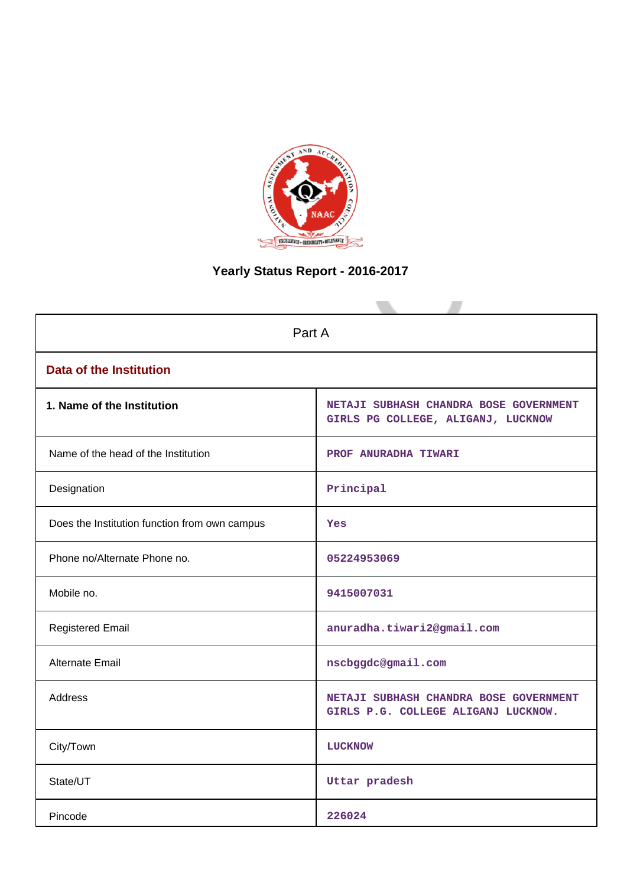

# **Yearly Status Report - 2016-2017**

| Part A                                        |                                                                               |  |  |  |
|-----------------------------------------------|-------------------------------------------------------------------------------|--|--|--|
| <b>Data of the Institution</b>                |                                                                               |  |  |  |
| 1. Name of the Institution                    | NETAJI SUBHASH CHANDRA BOSE GOVERNMENT<br>GIRLS PG COLLEGE, ALIGANJ, LUCKNOW  |  |  |  |
| Name of the head of the Institution           | PROF ANURADHA TIWARI                                                          |  |  |  |
| Designation                                   | Principal                                                                     |  |  |  |
| Does the Institution function from own campus | Yes                                                                           |  |  |  |
| Phone no/Alternate Phone no.                  | 05224953069                                                                   |  |  |  |
| Mobile no.                                    | 9415007031                                                                    |  |  |  |
| <b>Registered Email</b>                       | anuradha.tiwari2@gmail.com                                                    |  |  |  |
| Alternate Email                               | nscbggdc@gmail.com                                                            |  |  |  |
| <b>Address</b>                                | NETAJI SUBHASH CHANDRA BOSE GOVERNMENT<br>GIRLS P.G. COLLEGE ALIGANJ LUCKNOW. |  |  |  |
| City/Town                                     | LUCKNOW                                                                       |  |  |  |
| State/UT                                      | Uttar pradesh                                                                 |  |  |  |
| Pincode                                       | 226024                                                                        |  |  |  |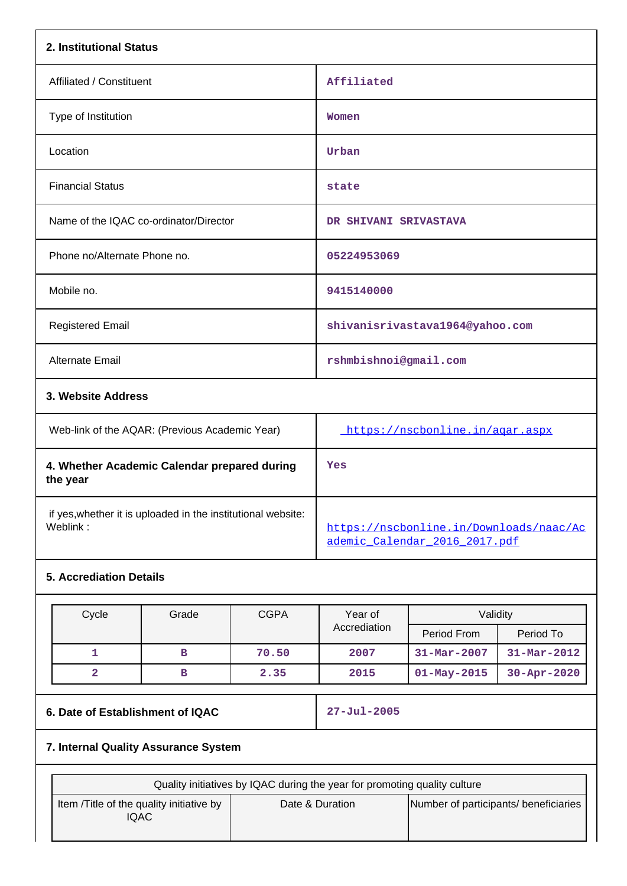| 2. Institutional Status                                                  |                                                                          |
|--------------------------------------------------------------------------|--------------------------------------------------------------------------|
| Affiliated / Constituent                                                 | Affiliated                                                               |
| Type of Institution                                                      | Women                                                                    |
| Location                                                                 | Urban                                                                    |
| <b>Financial Status</b>                                                  | state                                                                    |
| Name of the IQAC co-ordinator/Director                                   | DR SHIVANI SRIVASTAVA                                                    |
| Phone no/Alternate Phone no.                                             | 05224953069                                                              |
| Mobile no.                                                               | 9415140000                                                               |
| <b>Registered Email</b>                                                  | shivanisrivastava1964@yahoo.com                                          |
| <b>Alternate Email</b>                                                   | rshmbishnoi@gmail.com                                                    |
| 3. Website Address                                                       |                                                                          |
| Web-link of the AQAR: (Previous Academic Year)                           | https://nscbonline.in/agar.aspx                                          |
| 4. Whether Academic Calendar prepared during<br>the year                 | Yes                                                                      |
| if yes, whether it is uploaded in the institutional website:<br>Weblink: | https://nscbonline.in/Downloads/naac/Ac<br>ademic Calendar 2016 2017.pdf |
| <b>5. Accrediation Details</b>                                           |                                                                          |

| Cycle | Grade | <b>CGPA</b> | Year of      | Validity          |                          |
|-------|-------|-------------|--------------|-------------------|--------------------------|
|       |       |             | Accrediation | Period From       | Period To                |
|       | в     | 70.50       | 2007         | $31 - Mar - 2007$ | $31 - \text{Mar} - 2012$ |
|       | в     | 2.35        | 2015         | $01 - May - 2015$ | $30 - Apr - 2020$        |

## **6. Date of Establishment of IQAC 27-Jul-2005**

## **7. Internal Quality Assurance System**

|                                                   | Quality initiatives by IQAC during the year for promoting quality culture |                                       |
|---------------------------------------------------|---------------------------------------------------------------------------|---------------------------------------|
| Item / Title of the quality initiative by<br>IQAC | Date & Duration                                                           | Number of participants/ beneficiaries |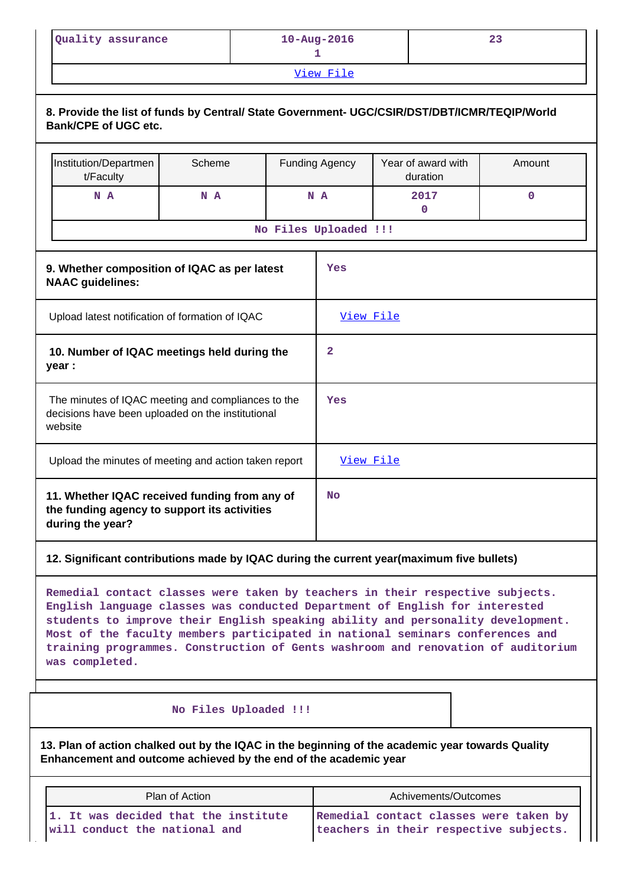| Quality assurance | $10 - \text{Aug} - 2016$ |  |
|-------------------|--------------------------|--|
|                   |                          |  |

[View File](https://assessmentonline.naac.gov.in/public/Postacc/Quality_Initiatives/6787_Quality_Initiatives.pdf)

| 8. Provide the list of funds by Central/ State Government- UGC/CSIR/DST/DBT/ICMR/TEQIP/World<br><b>Bank/CPE of UGC etc.</b> |        |                |                       |                                |             |
|-----------------------------------------------------------------------------------------------------------------------------|--------|----------------|-----------------------|--------------------------------|-------------|
| Institution/Departmen<br>t/Faculty                                                                                          | Scheme |                | <b>Funding Agency</b> | Year of award with<br>duration | Amount      |
| N A                                                                                                                         | N A    | N A            |                       | 2017<br>0                      | $\mathbf 0$ |
|                                                                                                                             |        |                | No Files Uploaded !!! |                                |             |
| 9. Whether composition of IQAC as per latest<br><b>NAAC</b> guidelines:                                                     |        |                | Yes                   |                                |             |
| Upload latest notification of formation of IQAC                                                                             |        | View File      |                       |                                |             |
| 10. Number of IQAC meetings held during the<br>year :                                                                       |        | $\overline{2}$ |                       |                                |             |
| The minutes of IQAC meeting and compliances to the<br>decisions have been uploaded on the institutional<br>website          |        | Yes            |                       |                                |             |
| Upload the minutes of meeting and action taken report                                                                       |        | View File      |                       |                                |             |
| 11. Whether IQAC received funding from any of<br>the funding agency to support its activities<br>during the year?           |        | No             |                       |                                |             |

## **12. Significant contributions made by IQAC during the current year(maximum five bullets)**

**Remedial contact classes were taken by teachers in their respective subjects. English language classes was conducted Department of English for interested students to improve their English speaking ability and personality development. Most of the faculty members participated in national seminars conferences and training programmes. Construction of Gents washroom and renovation of auditorium was completed.**

### **No Files Uploaded !!!**

**13. Plan of action chalked out by the IQAC in the beginning of the academic year towards Quality Enhancement and outcome achieved by the end of the academic year**

| Plan of Action                       | Achivements/Outcomes                   |  |
|--------------------------------------|----------------------------------------|--|
| 1. It was decided that the institute | Remedial contact classes were taken by |  |
| will conduct the national and        | teachers in their respective subjects. |  |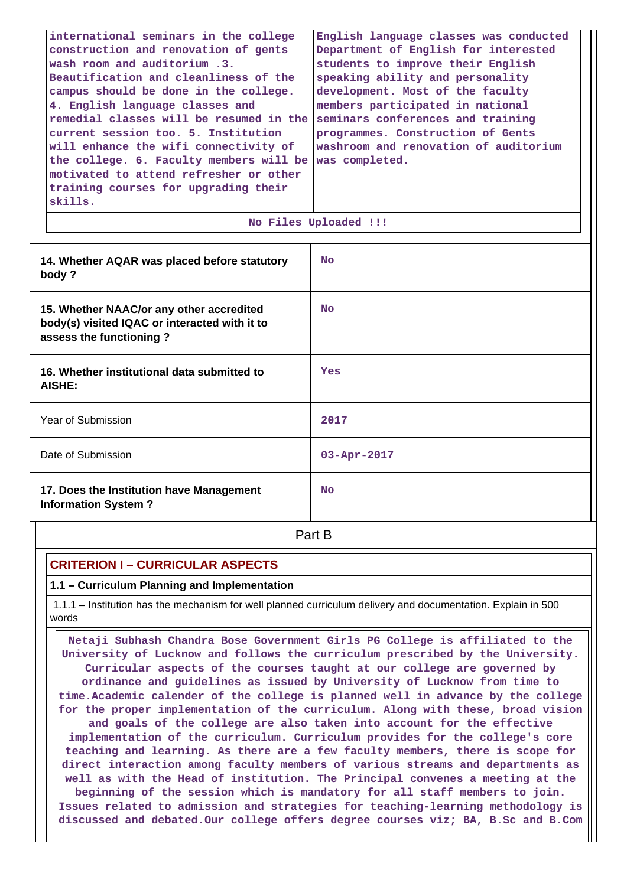| international seminars in the college   | English language classes was conducted |
|-----------------------------------------|----------------------------------------|
| construction and renovation of gents    | Department of English for interested   |
| wash room and auditorium.3.             | students to improve their English      |
| Beautification and cleanliness of the   | speaking ability and personality       |
| campus should be done in the college.   | development. Most of the faculty       |
| 4. English language classes and         | members participated in national       |
| remedial classes will be resumed in the | seminars conferences and training      |
| current session too. 5. Institution     | programmes. Construction of Gents      |
| will enhance the wifi connectivity of   | washroom and renovation of auditorium  |
| the college. 6. Faculty members will be | was completed.                         |
| motivated to attend refresher or other  |                                        |
| training courses for upgrading their    |                                        |
| skills.                                 |                                        |
|                                         |                                        |

|  | No Files Uploaded !!! |  |
|--|-----------------------|--|
|  |                       |  |

| 14. Whether AQAR was placed before statutory<br>body?                                                                | <b>No</b>         |
|----------------------------------------------------------------------------------------------------------------------|-------------------|
| 15. Whether NAAC/or any other accredited<br>body(s) visited IQAC or interacted with it to<br>assess the functioning? | <b>No</b>         |
| 16. Whether institutional data submitted to<br>AISHE:                                                                | Yes               |
| Year of Submission                                                                                                   | 2017              |
| Date of Submission                                                                                                   | $03 - Apr - 2017$ |
| 17. Does the Institution have Management<br><b>Information System?</b>                                               | <b>No</b>         |

**Part B** 

## **CRITERION I – CURRICULAR ASPECTS**

## **1.1 – Curriculum Planning and Implementation**

 1.1.1 – Institution has the mechanism for well planned curriculum delivery and documentation. Explain in 500 words

 **Netaji Subhash Chandra Bose Government Girls PG College is affiliated to the University of Lucknow and follows the curriculum prescribed by the University. Curricular aspects of the courses taught at our college are governed by ordinance and guidelines as issued by University of Lucknow from time to time.Academic calender of the college is planned well in advance by the college for the proper implementation of the curriculum. Along with these, broad vision and goals of the college are also taken into account for the effective implementation of the curriculum. Curriculum provides for the college's core teaching and learning. As there are a few faculty members, there is scope for direct interaction among faculty members of various streams and departments as well as with the Head of institution. The Principal convenes a meeting at the beginning of the session which is mandatory for all staff members to join. Issues related to admission and strategies for teaching-learning methodology is discussed and debated.Our college offers degree courses viz; BA, B.Sc and B.Com**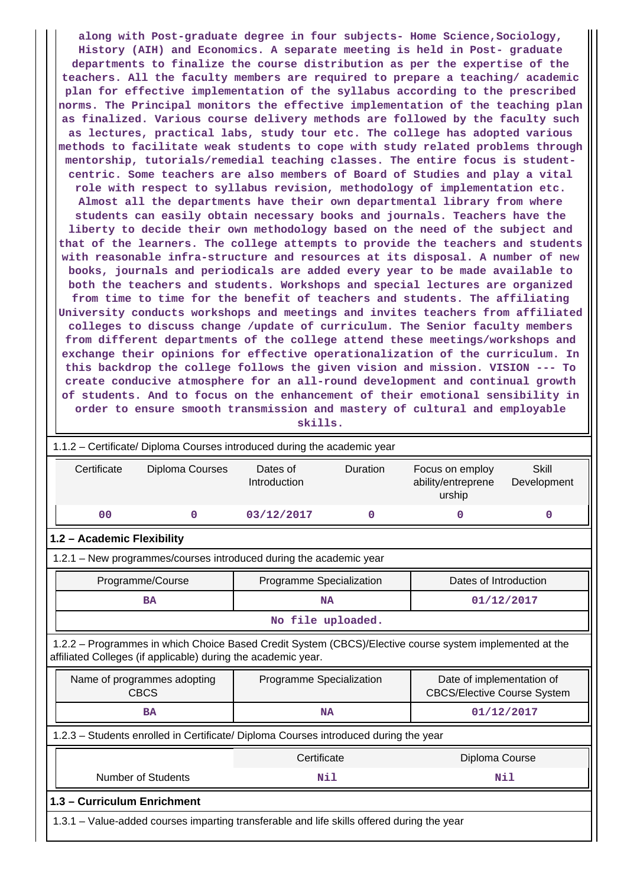**along with Post-graduate degree in four subjects- Home Science,Sociology, History (AIH) and Economics. A separate meeting is held in Post- graduate departments to finalize the course distribution as per the expertise of the teachers. All the faculty members are required to prepare a teaching/ academic plan for effective implementation of the syllabus according to the prescribed norms. The Principal monitors the effective implementation of the teaching plan as finalized. Various course delivery methods are followed by the faculty such as lectures, practical labs, study tour etc. The college has adopted various methods to facilitate weak students to cope with study related problems through mentorship, tutorials/remedial teaching classes. The entire focus is studentcentric. Some teachers are also members of Board of Studies and play a vital role with respect to syllabus revision, methodology of implementation etc. Almost all the departments have their own departmental library from where students can easily obtain necessary books and journals. Teachers have the liberty to decide their own methodology based on the need of the subject and that of the learners. The college attempts to provide the teachers and students with reasonable infra-structure and resources at its disposal. A number of new books, journals and periodicals are added every year to be made available to both the teachers and students. Workshops and special lectures are organized from time to time for the benefit of teachers and students. The affiliating University conducts workshops and meetings and invites teachers from affiliated colleges to discuss change /update of curriculum. The Senior faculty members from different departments of the college attend these meetings/workshops and exchange their opinions for effective operationalization of the curriculum. In this backdrop the college follows the given vision and mission. VISION --- To create conducive atmosphere for an all-round development and continual growth of students. And to focus on the enhancement of their emotional sensibility in order to ensure smooth transmission and mastery of cultural and employable**

**skills.**

| 1.1.2 - Certificate/ Diploma Courses introduced during the academic year                                                                                                 |                                         |                                      |   |                                                                 |                             |
|--------------------------------------------------------------------------------------------------------------------------------------------------------------------------|-----------------------------------------|--------------------------------------|---|-----------------------------------------------------------------|-----------------------------|
| Certificate<br>Diploma Courses                                                                                                                                           |                                         | Dates of<br>Duration<br>Introduction |   | Focus on employ<br>ability/entreprene<br>urship                 | <b>Skill</b><br>Development |
| 00                                                                                                                                                                       | $\mathbf 0$                             | 03/12/2017                           | 0 | $\mathbf 0$                                                     | 0                           |
| 1.2 - Academic Flexibility                                                                                                                                               |                                         |                                      |   |                                                                 |                             |
| 1.2.1 - New programmes/courses introduced during the academic year                                                                                                       |                                         |                                      |   |                                                                 |                             |
| Programme/Course                                                                                                                                                         |                                         | Programme Specialization             |   | Dates of Introduction                                           |                             |
| <b>BA</b>                                                                                                                                                                |                                         | <b>NA</b>                            |   | 01/12/2017                                                      |                             |
|                                                                                                                                                                          |                                         | No file uploaded.                    |   |                                                                 |                             |
| 1.2.2 - Programmes in which Choice Based Credit System (CBCS)/Elective course system implemented at the<br>affiliated Colleges (if applicable) during the academic year. |                                         |                                      |   |                                                                 |                             |
| Name of programmes adopting<br><b>CBCS</b>                                                                                                                               |                                         | Programme Specialization             |   | Date of implementation of<br><b>CBCS/Elective Course System</b> |                             |
| <b>BA</b>                                                                                                                                                                | 01/12/2017<br><b>NA</b>                 |                                      |   |                                                                 |                             |
| 1.2.3 - Students enrolled in Certificate/ Diploma Courses introduced during the year                                                                                     |                                         |                                      |   |                                                                 |                             |
|                                                                                                                                                                          | Certificate<br>Diploma Course           |                                      |   |                                                                 |                             |
|                                                                                                                                                                          | <b>Number of Students</b><br>Nil<br>Nil |                                      |   |                                                                 |                             |
| 1.3 - Curriculum Enrichment                                                                                                                                              |                                         |                                      |   |                                                                 |                             |
| 1.3.1 – Value-added courses imparting transferable and life skills offered during the year                                                                               |                                         |                                      |   |                                                                 |                             |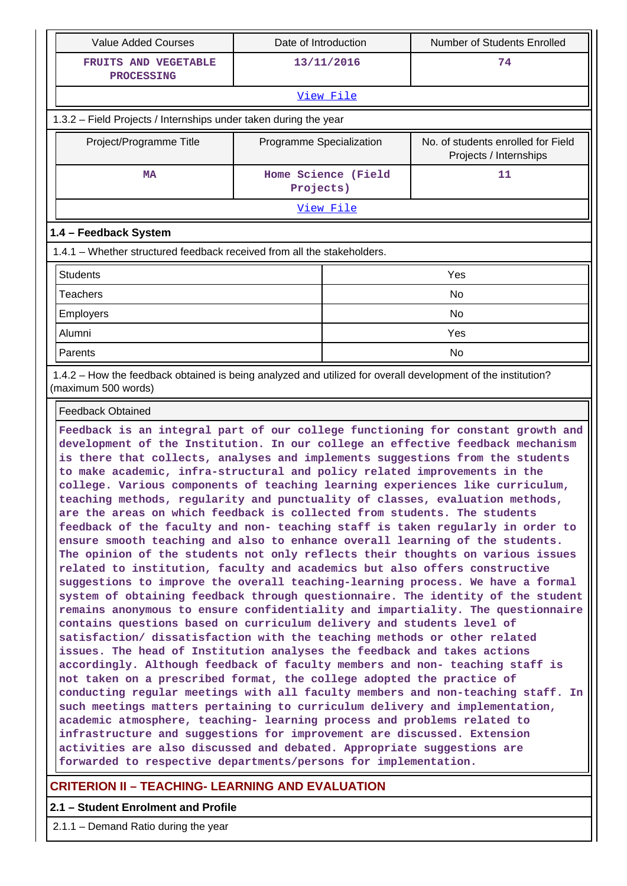| Value Added Courses                                                                                                                                                                                                                                                                                                                                                                                                                                                                                                                                                                                                                                                                                                                                                                                                                                                                                                                                                                                                                                                                                                                                                                                                                                                                                                                                                                                                                                                                                                                                                                                                                                                                                                                                                                                                                                                                                                                                                                                                                  | <b>Number of Students Enrolled</b><br>Date of Introduction |                     |                                                              |  |  |
|--------------------------------------------------------------------------------------------------------------------------------------------------------------------------------------------------------------------------------------------------------------------------------------------------------------------------------------------------------------------------------------------------------------------------------------------------------------------------------------------------------------------------------------------------------------------------------------------------------------------------------------------------------------------------------------------------------------------------------------------------------------------------------------------------------------------------------------------------------------------------------------------------------------------------------------------------------------------------------------------------------------------------------------------------------------------------------------------------------------------------------------------------------------------------------------------------------------------------------------------------------------------------------------------------------------------------------------------------------------------------------------------------------------------------------------------------------------------------------------------------------------------------------------------------------------------------------------------------------------------------------------------------------------------------------------------------------------------------------------------------------------------------------------------------------------------------------------------------------------------------------------------------------------------------------------------------------------------------------------------------------------------------------------|------------------------------------------------------------|---------------------|--------------------------------------------------------------|--|--|
| FRUITS AND VEGETABLE                                                                                                                                                                                                                                                                                                                                                                                                                                                                                                                                                                                                                                                                                                                                                                                                                                                                                                                                                                                                                                                                                                                                                                                                                                                                                                                                                                                                                                                                                                                                                                                                                                                                                                                                                                                                                                                                                                                                                                                                                 | 13/11/2016                                                 |                     | 74                                                           |  |  |
| <b>PROCESSING</b>                                                                                                                                                                                                                                                                                                                                                                                                                                                                                                                                                                                                                                                                                                                                                                                                                                                                                                                                                                                                                                                                                                                                                                                                                                                                                                                                                                                                                                                                                                                                                                                                                                                                                                                                                                                                                                                                                                                                                                                                                    |                                                            |                     |                                                              |  |  |
|                                                                                                                                                                                                                                                                                                                                                                                                                                                                                                                                                                                                                                                                                                                                                                                                                                                                                                                                                                                                                                                                                                                                                                                                                                                                                                                                                                                                                                                                                                                                                                                                                                                                                                                                                                                                                                                                                                                                                                                                                                      |                                                            | View File           |                                                              |  |  |
| 1.3.2 - Field Projects / Internships under taken during the year                                                                                                                                                                                                                                                                                                                                                                                                                                                                                                                                                                                                                                                                                                                                                                                                                                                                                                                                                                                                                                                                                                                                                                                                                                                                                                                                                                                                                                                                                                                                                                                                                                                                                                                                                                                                                                                                                                                                                                     |                                                            |                     |                                                              |  |  |
| Project/Programme Title                                                                                                                                                                                                                                                                                                                                                                                                                                                                                                                                                                                                                                                                                                                                                                                                                                                                                                                                                                                                                                                                                                                                                                                                                                                                                                                                                                                                                                                                                                                                                                                                                                                                                                                                                                                                                                                                                                                                                                                                              | Programme Specialization                                   |                     | No. of students enrolled for Field<br>Projects / Internships |  |  |
| <b>MA</b>                                                                                                                                                                                                                                                                                                                                                                                                                                                                                                                                                                                                                                                                                                                                                                                                                                                                                                                                                                                                                                                                                                                                                                                                                                                                                                                                                                                                                                                                                                                                                                                                                                                                                                                                                                                                                                                                                                                                                                                                                            | Projects)                                                  | Home Science (Field | 11                                                           |  |  |
|                                                                                                                                                                                                                                                                                                                                                                                                                                                                                                                                                                                                                                                                                                                                                                                                                                                                                                                                                                                                                                                                                                                                                                                                                                                                                                                                                                                                                                                                                                                                                                                                                                                                                                                                                                                                                                                                                                                                                                                                                                      |                                                            | View File           |                                                              |  |  |
| 1.4 - Feedback System                                                                                                                                                                                                                                                                                                                                                                                                                                                                                                                                                                                                                                                                                                                                                                                                                                                                                                                                                                                                                                                                                                                                                                                                                                                                                                                                                                                                                                                                                                                                                                                                                                                                                                                                                                                                                                                                                                                                                                                                                |                                                            |                     |                                                              |  |  |
| 1.4.1 – Whether structured feedback received from all the stakeholders.                                                                                                                                                                                                                                                                                                                                                                                                                                                                                                                                                                                                                                                                                                                                                                                                                                                                                                                                                                                                                                                                                                                                                                                                                                                                                                                                                                                                                                                                                                                                                                                                                                                                                                                                                                                                                                                                                                                                                              |                                                            |                     |                                                              |  |  |
| <b>Students</b>                                                                                                                                                                                                                                                                                                                                                                                                                                                                                                                                                                                                                                                                                                                                                                                                                                                                                                                                                                                                                                                                                                                                                                                                                                                                                                                                                                                                                                                                                                                                                                                                                                                                                                                                                                                                                                                                                                                                                                                                                      |                                                            |                     | Yes                                                          |  |  |
| <b>Teachers</b>                                                                                                                                                                                                                                                                                                                                                                                                                                                                                                                                                                                                                                                                                                                                                                                                                                                                                                                                                                                                                                                                                                                                                                                                                                                                                                                                                                                                                                                                                                                                                                                                                                                                                                                                                                                                                                                                                                                                                                                                                      |                                                            |                     | No                                                           |  |  |
| Employers                                                                                                                                                                                                                                                                                                                                                                                                                                                                                                                                                                                                                                                                                                                                                                                                                                                                                                                                                                                                                                                                                                                                                                                                                                                                                                                                                                                                                                                                                                                                                                                                                                                                                                                                                                                                                                                                                                                                                                                                                            |                                                            |                     | No                                                           |  |  |
| Alumni                                                                                                                                                                                                                                                                                                                                                                                                                                                                                                                                                                                                                                                                                                                                                                                                                                                                                                                                                                                                                                                                                                                                                                                                                                                                                                                                                                                                                                                                                                                                                                                                                                                                                                                                                                                                                                                                                                                                                                                                                               |                                                            |                     | Yes                                                          |  |  |
| Parents                                                                                                                                                                                                                                                                                                                                                                                                                                                                                                                                                                                                                                                                                                                                                                                                                                                                                                                                                                                                                                                                                                                                                                                                                                                                                                                                                                                                                                                                                                                                                                                                                                                                                                                                                                                                                                                                                                                                                                                                                              |                                                            |                     | No                                                           |  |  |
| 1.4.2 - How the feedback obtained is being analyzed and utilized for overall development of the institution?<br>(maximum 500 words)                                                                                                                                                                                                                                                                                                                                                                                                                                                                                                                                                                                                                                                                                                                                                                                                                                                                                                                                                                                                                                                                                                                                                                                                                                                                                                                                                                                                                                                                                                                                                                                                                                                                                                                                                                                                                                                                                                  |                                                            |                     |                                                              |  |  |
| <b>Feedback Obtained</b>                                                                                                                                                                                                                                                                                                                                                                                                                                                                                                                                                                                                                                                                                                                                                                                                                                                                                                                                                                                                                                                                                                                                                                                                                                                                                                                                                                                                                                                                                                                                                                                                                                                                                                                                                                                                                                                                                                                                                                                                             |                                                            |                     |                                                              |  |  |
| Feedback is an integral part of our college functioning for constant growth and<br>development of the Institution. In our college an effective feedback mechanism<br>is there that collects, analyses and implements suggestions from the students<br>to make academic, infra-structural and policy related improvements in the<br>college. Various components of teaching learning experiences like curriculum,<br>teaching methods, regularity and punctuality of classes, evaluation methods,<br>are the areas on which feedback is collected from students. The students<br>feedback of the faculty and non- teaching staff is taken regularly in order to<br>ensure smooth teaching and also to enhance overall learning of the students.<br>The opinion of the students not only reflects their thoughts on various issues<br>related to institution, faculty and academics but also offers constructive<br>suggestions to improve the overall teaching-learning process. We have a formal<br>system of obtaining feedback through questionnaire. The identity of the student<br>remains anonymous to ensure confidentiality and impartiality. The questionnaire<br>contains questions based on curriculum delivery and students level of<br>satisfaction/ dissatisfaction with the teaching methods or other related<br>issues. The head of Institution analyses the feedback and takes actions<br>accordingly. Although feedback of faculty members and non- teaching staff is<br>not taken on a prescribed format, the college adopted the practice of<br>conducting regular meetings with all faculty members and non-teaching staff. In<br>such meetings matters pertaining to curriculum delivery and implementation,<br>academic atmosphere, teaching- learning process and problems related to<br>infrastructure and suggestions for improvement are discussed. Extension<br>activities are also discussed and debated. Appropriate suggestions are<br>forwarded to respective departments/persons for implementation. |                                                            |                     |                                                              |  |  |

## **CRITERION II – TEACHING- LEARNING AND EVALUATION**

## **2.1 – Student Enrolment and Profile**

2.1.1 – Demand Ratio during the year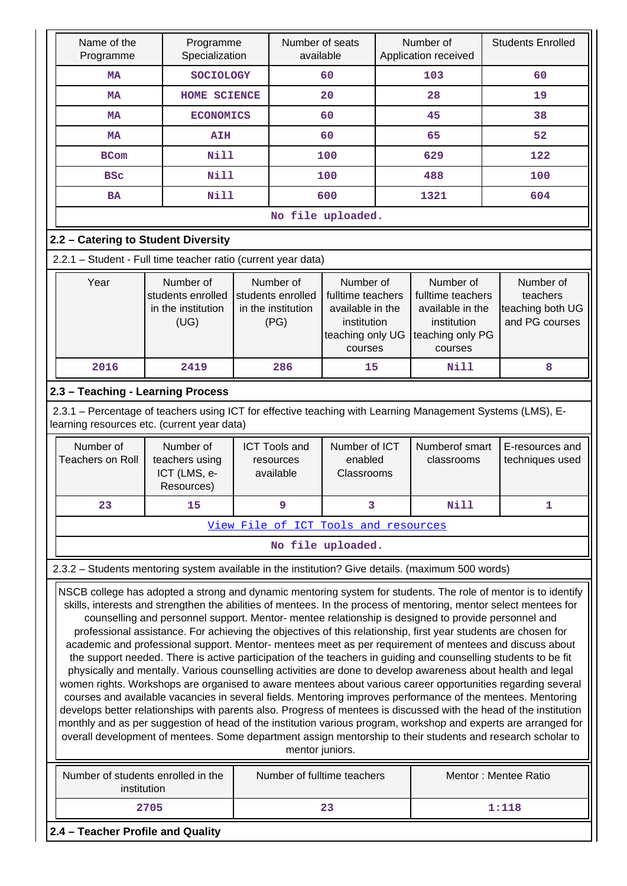| Name of the<br>Programme                                                                                                                                  | Programme<br>Specialization                                                                         | Number of seats<br>available                                                             |                                                                                                  |    | Number of<br>Application received                                                                | <b>Students Enrolled</b>                                                                                                                                                                                                                                                                                                                                                                                                                                                                                                                                                                                                                                                                                                                                                                                                                                                                                                                                                                                                                                                                                                                                                                                                                                                                  |  |
|-----------------------------------------------------------------------------------------------------------------------------------------------------------|-----------------------------------------------------------------------------------------------------|------------------------------------------------------------------------------------------|--------------------------------------------------------------------------------------------------|----|--------------------------------------------------------------------------------------------------|-------------------------------------------------------------------------------------------------------------------------------------------------------------------------------------------------------------------------------------------------------------------------------------------------------------------------------------------------------------------------------------------------------------------------------------------------------------------------------------------------------------------------------------------------------------------------------------------------------------------------------------------------------------------------------------------------------------------------------------------------------------------------------------------------------------------------------------------------------------------------------------------------------------------------------------------------------------------------------------------------------------------------------------------------------------------------------------------------------------------------------------------------------------------------------------------------------------------------------------------------------------------------------------------|--|
| <b>MA</b>                                                                                                                                                 | <b>SOCIOLOGY</b>                                                                                    |                                                                                          | 60                                                                                               |    | 103                                                                                              | 60                                                                                                                                                                                                                                                                                                                                                                                                                                                                                                                                                                                                                                                                                                                                                                                                                                                                                                                                                                                                                                                                                                                                                                                                                                                                                        |  |
| <b>MA</b>                                                                                                                                                 | HOME SCIENCE                                                                                        | 20                                                                                       |                                                                                                  | 28 |                                                                                                  | 19                                                                                                                                                                                                                                                                                                                                                                                                                                                                                                                                                                                                                                                                                                                                                                                                                                                                                                                                                                                                                                                                                                                                                                                                                                                                                        |  |
| <b>MA</b>                                                                                                                                                 | <b>ECONOMICS</b>                                                                                    |                                                                                          | 60                                                                                               |    | 45                                                                                               | 38                                                                                                                                                                                                                                                                                                                                                                                                                                                                                                                                                                                                                                                                                                                                                                                                                                                                                                                                                                                                                                                                                                                                                                                                                                                                                        |  |
| <b>MA</b>                                                                                                                                                 | <b>AIH</b>                                                                                          |                                                                                          | 60                                                                                               |    | 65                                                                                               | 52                                                                                                                                                                                                                                                                                                                                                                                                                                                                                                                                                                                                                                                                                                                                                                                                                                                                                                                                                                                                                                                                                                                                                                                                                                                                                        |  |
| <b>BCom</b>                                                                                                                                               | <b>Nill</b>                                                                                         |                                                                                          | 100                                                                                              |    | 629                                                                                              | 122                                                                                                                                                                                                                                                                                                                                                                                                                                                                                                                                                                                                                                                                                                                                                                                                                                                                                                                                                                                                                                                                                                                                                                                                                                                                                       |  |
| <b>BSC</b>                                                                                                                                                | <b>Nill</b>                                                                                         |                                                                                          | 100                                                                                              |    | 488                                                                                              | 100                                                                                                                                                                                                                                                                                                                                                                                                                                                                                                                                                                                                                                                                                                                                                                                                                                                                                                                                                                                                                                                                                                                                                                                                                                                                                       |  |
| <b>BA</b>                                                                                                                                                 | <b>Nill</b>                                                                                         |                                                                                          | 600                                                                                              |    | 1321                                                                                             | 604                                                                                                                                                                                                                                                                                                                                                                                                                                                                                                                                                                                                                                                                                                                                                                                                                                                                                                                                                                                                                                                                                                                                                                                                                                                                                       |  |
|                                                                                                                                                           |                                                                                                     |                                                                                          | No file uploaded.                                                                                |    |                                                                                                  |                                                                                                                                                                                                                                                                                                                                                                                                                                                                                                                                                                                                                                                                                                                                                                                                                                                                                                                                                                                                                                                                                                                                                                                                                                                                                           |  |
| 2.2 - Catering to Student Diversity                                                                                                                       |                                                                                                     |                                                                                          |                                                                                                  |    |                                                                                                  |                                                                                                                                                                                                                                                                                                                                                                                                                                                                                                                                                                                                                                                                                                                                                                                                                                                                                                                                                                                                                                                                                                                                                                                                                                                                                           |  |
| 2.2.1 - Student - Full time teacher ratio (current year data)                                                                                             |                                                                                                     |                                                                                          |                                                                                                  |    |                                                                                                  |                                                                                                                                                                                                                                                                                                                                                                                                                                                                                                                                                                                                                                                                                                                                                                                                                                                                                                                                                                                                                                                                                                                                                                                                                                                                                           |  |
| Year                                                                                                                                                      | Number of<br>students enrolled<br>in the institution<br>(UG)                                        | Number of<br>students enrolled<br>in the institution<br>(PG)                             | Number of<br>fulltime teachers<br>available in the<br>institution<br>teaching only UG<br>courses |    | Number of<br>fulltime teachers<br>available in the<br>institution<br>teaching only PG<br>courses | Number of<br>teachers<br>teaching both UG<br>and PG courses                                                                                                                                                                                                                                                                                                                                                                                                                                                                                                                                                                                                                                                                                                                                                                                                                                                                                                                                                                                                                                                                                                                                                                                                                               |  |
| 2016                                                                                                                                                      | 2419                                                                                                | 286                                                                                      | 15                                                                                               |    | Nill                                                                                             | 8                                                                                                                                                                                                                                                                                                                                                                                                                                                                                                                                                                                                                                                                                                                                                                                                                                                                                                                                                                                                                                                                                                                                                                                                                                                                                         |  |
| 2.3 - Teaching - Learning Process                                                                                                                         |                                                                                                     |                                                                                          |                                                                                                  |    |                                                                                                  |                                                                                                                                                                                                                                                                                                                                                                                                                                                                                                                                                                                                                                                                                                                                                                                                                                                                                                                                                                                                                                                                                                                                                                                                                                                                                           |  |
| 2.3.1 - Percentage of teachers using ICT for effective teaching with Learning Management Systems (LMS), E-<br>learning resources etc. (current year data) |                                                                                                     |                                                                                          |                                                                                                  |    |                                                                                                  |                                                                                                                                                                                                                                                                                                                                                                                                                                                                                                                                                                                                                                                                                                                                                                                                                                                                                                                                                                                                                                                                                                                                                                                                                                                                                           |  |
| Number of<br><b>Teachers on Roll</b>                                                                                                                      | Number of<br>teachers using                                                                         | Number of ICT<br><b>ICT Tools and</b><br>enabled<br>resources<br>available<br>Classrooms |                                                                                                  |    | Numberof smart<br>classrooms                                                                     | E-resources and<br>techniques used                                                                                                                                                                                                                                                                                                                                                                                                                                                                                                                                                                                                                                                                                                                                                                                                                                                                                                                                                                                                                                                                                                                                                                                                                                                        |  |
|                                                                                                                                                           | ICT (LMS, e-<br>Resources)                                                                          |                                                                                          |                                                                                                  |    |                                                                                                  |                                                                                                                                                                                                                                                                                                                                                                                                                                                                                                                                                                                                                                                                                                                                                                                                                                                                                                                                                                                                                                                                                                                                                                                                                                                                                           |  |
| 23                                                                                                                                                        | 15                                                                                                  | 9                                                                                        |                                                                                                  |    | Nill                                                                                             | 1                                                                                                                                                                                                                                                                                                                                                                                                                                                                                                                                                                                                                                                                                                                                                                                                                                                                                                                                                                                                                                                                                                                                                                                                                                                                                         |  |
|                                                                                                                                                           |                                                                                                     | View File of ICT Tools and resources                                                     |                                                                                                  |    |                                                                                                  |                                                                                                                                                                                                                                                                                                                                                                                                                                                                                                                                                                                                                                                                                                                                                                                                                                                                                                                                                                                                                                                                                                                                                                                                                                                                                           |  |
|                                                                                                                                                           |                                                                                                     |                                                                                          | No file uploaded.                                                                                |    |                                                                                                  |                                                                                                                                                                                                                                                                                                                                                                                                                                                                                                                                                                                                                                                                                                                                                                                                                                                                                                                                                                                                                                                                                                                                                                                                                                                                                           |  |
| 2.3.2 - Students mentoring system available in the institution? Give details. (maximum 500 words)                                                         |                                                                                                     |                                                                                          |                                                                                                  |    |                                                                                                  |                                                                                                                                                                                                                                                                                                                                                                                                                                                                                                                                                                                                                                                                                                                                                                                                                                                                                                                                                                                                                                                                                                                                                                                                                                                                                           |  |
|                                                                                                                                                           | counselling and personnel support. Mentor- mentee relationship is designed to provide personnel and | mentor juniors.                                                                          |                                                                                                  |    |                                                                                                  | NSCB college has adopted a strong and dynamic mentoring system for students. The role of mentor is to identify<br>skills, interests and strengthen the abilities of mentees. In the process of mentoring, mentor select mentees for<br>professional assistance. For achieving the objectives of this relationship, first year students are chosen for<br>academic and professional support. Mentor- mentees meet as per requirement of mentees and discuss about<br>the support needed. There is active participation of the teachers in guiding and counselling students to be fit<br>physically and mentally. Various counselling activities are done to develop awareness about health and legal<br>women rights. Workshops are organised to aware mentees about various career opportunities regarding several<br>courses and available vacancies in several fields. Mentoring improves performance of the mentees. Mentoring<br>develops better relationships with parents also. Progress of mentees is discussed with the head of the institution<br>monthly and as per suggestion of head of the institution various program, workshop and experts are arranged for<br>overall development of mentees. Some department assign mentorship to their students and research scholar to |  |
| Number of students enrolled in the<br>institution                                                                                                         |                                                                                                     | Number of fulltime teachers                                                              |                                                                                                  |    |                                                                                                  | Mentor: Mentee Ratio                                                                                                                                                                                                                                                                                                                                                                                                                                                                                                                                                                                                                                                                                                                                                                                                                                                                                                                                                                                                                                                                                                                                                                                                                                                                      |  |
|                                                                                                                                                           | 2705                                                                                                |                                                                                          | 23                                                                                               |    |                                                                                                  | 1:118                                                                                                                                                                                                                                                                                                                                                                                                                                                                                                                                                                                                                                                                                                                                                                                                                                                                                                                                                                                                                                                                                                                                                                                                                                                                                     |  |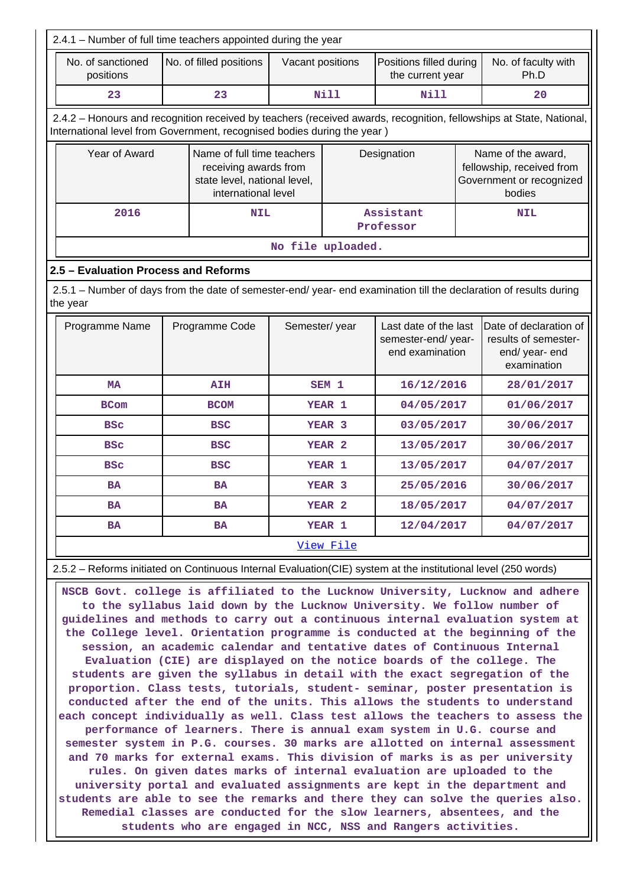| 2.4.1 - Number of full time teachers appointed during the year                                                                 |                                                                                                                                                                                                |                         |                                                                                 |                   |                                             |                                                                                       |                                                                                 |  |  |
|--------------------------------------------------------------------------------------------------------------------------------|------------------------------------------------------------------------------------------------------------------------------------------------------------------------------------------------|-------------------------|---------------------------------------------------------------------------------|-------------------|---------------------------------------------|---------------------------------------------------------------------------------------|---------------------------------------------------------------------------------|--|--|
| No. of sanctioned<br>positions                                                                                                 |                                                                                                                                                                                                | No. of filled positions | Vacant positions                                                                |                   | Positions filled during<br>the current year |                                                                                       | No. of faculty with<br>Ph.D                                                     |  |  |
| 23                                                                                                                             |                                                                                                                                                                                                | 23                      |                                                                                 | <b>Nill</b>       | <b>Nill</b>                                 |                                                                                       | 20                                                                              |  |  |
|                                                                                                                                | 2.4.2 - Honours and recognition received by teachers (received awards, recognition, fellowships at State, National,<br>International level from Government, recognised bodies during the year) |                         |                                                                                 |                   |                                             |                                                                                       |                                                                                 |  |  |
| Year of Award                                                                                                                  | Name of full time teachers<br>receiving awards from<br>state level, national level,<br>international level                                                                                     |                         |                                                                                 | Designation       |                                             | Name of the award,<br>fellowship, received from<br>Government or recognized<br>bodies |                                                                                 |  |  |
| 2016                                                                                                                           | <b>NIL</b>                                                                                                                                                                                     |                         |                                                                                 |                   | Assistant<br>Professor                      |                                                                                       | <b>NIL</b>                                                                      |  |  |
|                                                                                                                                |                                                                                                                                                                                                |                         | No file uploaded.                                                               |                   |                                             |                                                                                       |                                                                                 |  |  |
| 2.5 - Evaluation Process and Reforms                                                                                           |                                                                                                                                                                                                |                         |                                                                                 |                   |                                             |                                                                                       |                                                                                 |  |  |
| 2.5.1 - Number of days from the date of semester-end/ year- end examination till the declaration of results during<br>the year |                                                                                                                                                                                                |                         |                                                                                 |                   |                                             |                                                                                       |                                                                                 |  |  |
| Programme Name                                                                                                                 |                                                                                                                                                                                                | Programme Code          | Last date of the last<br>Semester/year<br>semester-end/year-<br>end examination |                   |                                             |                                                                                       | Date of declaration of<br>results of semester-<br>end/ year- end<br>examination |  |  |
| <b>MA</b>                                                                                                                      |                                                                                                                                                                                                | <b>AIH</b>              |                                                                                 | SEM <sub>1</sub>  | 16/12/2016                                  |                                                                                       | 28/01/2017                                                                      |  |  |
| <b>BCom</b>                                                                                                                    |                                                                                                                                                                                                | <b>BCOM</b>             |                                                                                 | YEAR <sub>1</sub> | 04/05/2017                                  |                                                                                       | 01/06/2017                                                                      |  |  |
| <b>BSC</b>                                                                                                                     |                                                                                                                                                                                                | <b>BSC</b>              |                                                                                 | YEAR <sub>3</sub> | 03/05/2017                                  |                                                                                       | 30/06/2017                                                                      |  |  |
| <b>BSC</b>                                                                                                                     |                                                                                                                                                                                                | <b>BSC</b>              |                                                                                 | YEAR <sub>2</sub> | 13/05/2017                                  |                                                                                       | 30/06/2017                                                                      |  |  |
| <b>BSC</b>                                                                                                                     |                                                                                                                                                                                                | <b>BSC</b>              |                                                                                 | YEAR 1            | 13/05/2017                                  |                                                                                       | 04/07/2017                                                                      |  |  |
| <b>BA</b>                                                                                                                      |                                                                                                                                                                                                | <b>BA</b>               |                                                                                 | YEAR <sub>3</sub> | 25/05/2016                                  |                                                                                       | 30/06/2017                                                                      |  |  |
| <b>BA</b>                                                                                                                      |                                                                                                                                                                                                | <b>BA</b>               |                                                                                 | YEAR <sub>2</sub> | 18/05/2017                                  |                                                                                       | 04/07/2017                                                                      |  |  |
| <b>BA</b>                                                                                                                      |                                                                                                                                                                                                | <b>BA</b>               |                                                                                 | YEAR 1            | 12/04/2017                                  |                                                                                       | 04/07/2017                                                                      |  |  |
|                                                                                                                                |                                                                                                                                                                                                |                         |                                                                                 | View File         |                                             |                                                                                       |                                                                                 |  |  |

2.5.2 – Reforms initiated on Continuous Internal Evaluation(CIE) system at the institutional level (250 words)

 **NSCB Govt. college is affiliated to the Lucknow University, Lucknow and adhere to the syllabus laid down by the Lucknow University. We follow number of guidelines and methods to carry out a continuous internal evaluation system at the College level. Orientation programme is conducted at the beginning of the session, an academic calendar and tentative dates of Continuous Internal Evaluation (CIE) are displayed on the notice boards of the college. The students are given the syllabus in detail with the exact segregation of the proportion. Class tests, tutorials, student- seminar, poster presentation is conducted after the end of the units. This allows the students to understand each concept individually as well. Class test allows the teachers to assess the performance of learners. There is annual exam system in U.G. course and semester system in P.G. courses. 30 marks are allotted on internal assessment and 70 marks for external exams. This division of marks is as per university rules. On given dates marks of internal evaluation are uploaded to the university portal and evaluated assignments are kept in the department and students are able to see the remarks and there they can solve the queries also. Remedial classes are conducted for the slow learners, absentees, and the students who are engaged in NCC, NSS and Rangers activities.**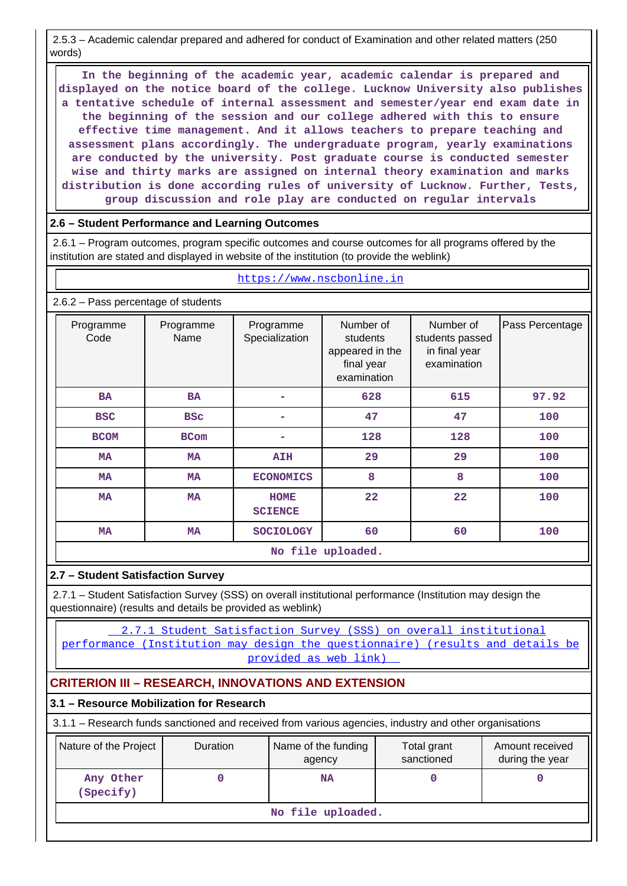2.5.3 – Academic calendar prepared and adhered for conduct of Examination and other related matters (250 words)

 **In the beginning of the academic year, academic calendar is prepared and displayed on the notice board of the college. Lucknow University also publishes a tentative schedule of internal assessment and semester/year end exam date in the beginning of the session and our college adhered with this to ensure effective time management. And it allows teachers to prepare teaching and assessment plans accordingly. The undergraduate program, yearly examinations are conducted by the university. Post graduate course is conducted semester wise and thirty marks are assigned on internal theory examination and marks distribution is done according rules of university of Lucknow. Further, Tests, group discussion and role play are conducted on regular intervals**

### **2.6 – Student Performance and Learning Outcomes**

 2.6.1 – Program outcomes, program specific outcomes and course outcomes for all programs offered by the institution are stated and displayed in website of the institution (to provide the weblink)

#### <https://www.nscbonline.in>

2.6.2 – Pass percentage of students

| Programme<br>Code | Programme<br>Name | Programme<br>Specialization   | Number of<br>students<br>appeared in the<br>final year<br>examination | Number of<br>students passed<br>in final year<br>examination | Pass Percentage |
|-------------------|-------------------|-------------------------------|-----------------------------------------------------------------------|--------------------------------------------------------------|-----------------|
| <b>BA</b>         | <b>BA</b>         |                               | 628                                                                   | 615                                                          | 97.92           |
| <b>BSC</b>        | <b>BSC</b>        |                               | 47                                                                    | 47                                                           | 100             |
| <b>BCOM</b>       | <b>BCom</b>       |                               | 128                                                                   | 128                                                          | 100             |
| <b>MA</b>         | <b>MA</b>         | <b>AIH</b>                    | 29                                                                    | 29                                                           | 100             |
| <b>MA</b>         | <b>MA</b>         | <b>ECONOMICS</b>              | 8                                                                     | 8                                                            | 100             |
| <b>MA</b>         | <b>MA</b>         | <b>HOME</b><br><b>SCIENCE</b> | 22                                                                    | 22                                                           | 100             |
| MA                | MA                | <b>SOCIOLOGY</b>              | 60                                                                    | 60                                                           | 100             |

**No file uploaded.**

## **2.7 – Student Satisfaction Survey**

 2.7.1 – Student Satisfaction Survey (SSS) on overall institutional performance (Institution may design the questionnaire) (results and details be provided as weblink)

 [2.7.1 Student Satisfaction Survey \(SSS\) on overall institutional](2.7.1 Student Satisfaction Survey (SSS) on overall institutional performance (Institution may design the questionnaire) (results and details be provided as web link)) [performance \(Institution may design the questionnaire\) \(results and details be](2.7.1 Student Satisfaction Survey (SSS) on overall institutional performance (Institution may design the questionnaire) (results and details be provided as web link)) [provided as web link\)](2.7.1 Student Satisfaction Survey (SSS) on overall institutional performance (Institution may design the questionnaire) (results and details be provided as web link)) 

## **CRITERION III – RESEARCH, INNOVATIONS AND EXTENSION**

## **3.1 – Resource Mobilization for Research**

3.1.1 – Research funds sanctioned and received from various agencies, industry and other organisations

| Nature of the Project  | <b>Duration</b> | Name of the funding<br>agency | Total grant<br>sanctioned | Amount received<br>during the year |
|------------------------|-----------------|-------------------------------|---------------------------|------------------------------------|
| Any Other<br>(Specify) |                 | <b>NA</b>                     |                           |                                    |
|                        |                 | No file uploaded.             |                           |                                    |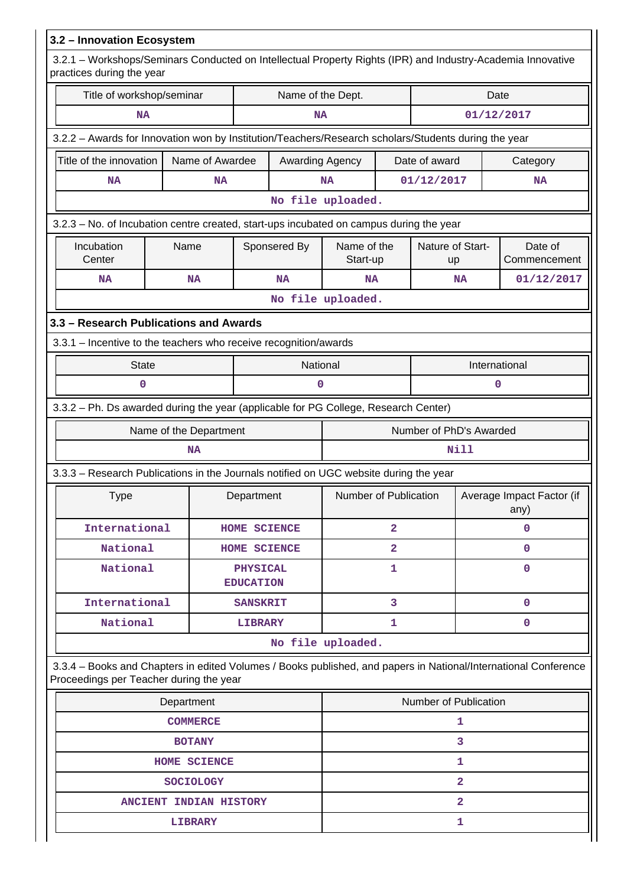| 3.2 - Innovation Ecosystem                                                                                                                                 |                        |                                     |                        |                         |                       |                         |                                   |                         |  |
|------------------------------------------------------------------------------------------------------------------------------------------------------------|------------------------|-------------------------------------|------------------------|-------------------------|-----------------------|-------------------------|-----------------------------------|-------------------------|--|
| 3.2.1 - Workshops/Seminars Conducted on Intellectual Property Rights (IPR) and Industry-Academia Innovative<br>practices during the year                   |                        |                                     |                        |                         |                       |                         |                                   |                         |  |
| Title of workshop/seminar                                                                                                                                  |                        | Name of the Dept.                   |                        |                         |                       |                         | Date                              |                         |  |
| <b>NA</b>                                                                                                                                                  |                        |                                     | <b>NA</b>              |                         |                       | 01/12/2017              |                                   |                         |  |
| 3.2.2 - Awards for Innovation won by Institution/Teachers/Research scholars/Students during the year                                                       |                        |                                     |                        |                         |                       |                         |                                   |                         |  |
| Title of the innovation                                                                                                                                    | Name of Awardee        |                                     | <b>Awarding Agency</b> |                         |                       | Date of award           |                                   | Category                |  |
| <b>NA</b>                                                                                                                                                  | <b>NA</b>              |                                     |                        | <b>NA</b>               |                       | 01/12/2017              |                                   | <b>NA</b>               |  |
|                                                                                                                                                            |                        |                                     |                        | No file uploaded.       |                       |                         |                                   |                         |  |
| 3.2.3 - No. of Incubation centre created, start-ups incubated on campus during the year                                                                    |                        |                                     |                        |                         |                       |                         |                                   |                         |  |
| Incubation<br>Center                                                                                                                                       | Name                   |                                     | Sponsered By           | Name of the<br>Start-up |                       | Nature of Start-<br>up  |                                   | Date of<br>Commencement |  |
| <b>NA</b>                                                                                                                                                  | <b>NA</b>              |                                     | <b>NA</b>              | <b>NA</b>               |                       | <b>NA</b>               |                                   | 01/12/2017              |  |
|                                                                                                                                                            |                        |                                     |                        | No file uploaded.       |                       |                         |                                   |                         |  |
| 3.3 - Research Publications and Awards                                                                                                                     |                        |                                     |                        |                         |                       |                         |                                   |                         |  |
| 3.3.1 - Incentive to the teachers who receive recognition/awards                                                                                           |                        |                                     |                        |                         |                       |                         |                                   |                         |  |
| <b>State</b>                                                                                                                                               |                        |                                     | National               |                         |                       |                         |                                   | International           |  |
| $\mathbf 0$                                                                                                                                                |                        |                                     | 0                      |                         |                       |                         | 0                                 |                         |  |
| 3.3.2 - Ph. Ds awarded during the year (applicable for PG College, Research Center)                                                                        |                        |                                     |                        |                         |                       |                         |                                   |                         |  |
|                                                                                                                                                            | Name of the Department |                                     |                        |                         |                       | Number of PhD's Awarded |                                   |                         |  |
|                                                                                                                                                            | <b>NA</b>              |                                     |                        |                         |                       | Nill                    |                                   |                         |  |
| 3.3.3 – Research Publications in the Journals notified on UGC website during the year                                                                      |                        |                                     |                        |                         |                       |                         |                                   |                         |  |
| <b>Type</b>                                                                                                                                                |                        | Department                          |                        | Number of Publication   |                       |                         | Average Impact Factor (if<br>any) |                         |  |
| International                                                                                                                                              |                        | HOME SCIENCE                        |                        |                         | $\overline{2}$        |                         | 0                                 |                         |  |
| National                                                                                                                                                   |                        | HOME SCIENCE                        |                        |                         | $\overline{a}$        |                         |                                   | 0                       |  |
| National                                                                                                                                                   |                        | <b>PHYSICAL</b><br><b>EDUCATION</b> |                        |                         | 1                     |                         |                                   | 0                       |  |
| International                                                                                                                                              |                        | <b>SANSKRIT</b>                     |                        |                         | 3                     |                         |                                   | 0                       |  |
| National                                                                                                                                                   |                        | <b>LIBRARY</b>                      |                        |                         | 1                     |                         |                                   | 0                       |  |
|                                                                                                                                                            |                        |                                     |                        | No file uploaded.       |                       |                         |                                   |                         |  |
| 3.3.4 - Books and Chapters in edited Volumes / Books published, and papers in National/International Conference<br>Proceedings per Teacher during the year |                        |                                     |                        |                         |                       |                         |                                   |                         |  |
|                                                                                                                                                            | Department             |                                     |                        |                         | Number of Publication |                         |                                   |                         |  |
|                                                                                                                                                            | <b>COMMERCE</b>        |                                     |                        |                         |                       | 1                       |                                   |                         |  |
|                                                                                                                                                            | <b>BOTANY</b>          |                                     |                        |                         |                       | 3                       |                                   |                         |  |
|                                                                                                                                                            | <b>HOME SCIENCE</b>    |                                     |                        |                         |                       | 1                       |                                   |                         |  |
|                                                                                                                                                            | <b>SOCIOLOGY</b>       |                                     |                        |                         |                       | $\overline{a}$          |                                   |                         |  |
|                                                                                                                                                            | ANCIENT INDIAN HISTORY |                                     |                        |                         |                       | 2                       |                                   |                         |  |
|                                                                                                                                                            | <b>LIBRARY</b>         |                                     |                        |                         |                       | 1                       |                                   |                         |  |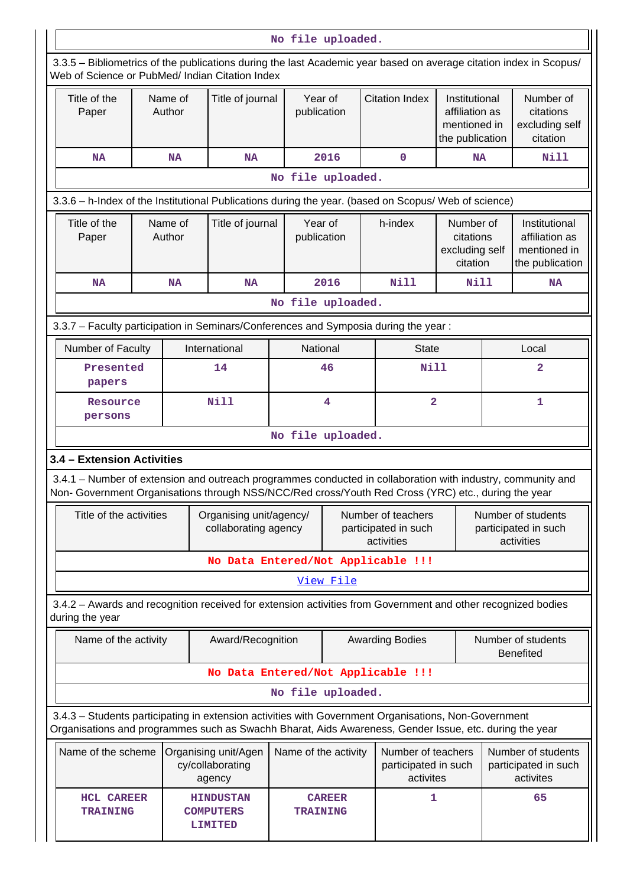|                                                                                                      | No file uploaded.                                                       |                                                        |                                                                                                                                                                                                                |                                                                                                             |                        |   |                                                                                             |                                                      |                                                          |                                                                                                                    |  |
|------------------------------------------------------------------------------------------------------|-------------------------------------------------------------------------|--------------------------------------------------------|----------------------------------------------------------------------------------------------------------------------------------------------------------------------------------------------------------------|-------------------------------------------------------------------------------------------------------------|------------------------|---|---------------------------------------------------------------------------------------------|------------------------------------------------------|----------------------------------------------------------|--------------------------------------------------------------------------------------------------------------------|--|
|                                                                                                      |                                                                         |                                                        | Web of Science or PubMed/ Indian Citation Index                                                                                                                                                                |                                                                                                             |                        |   |                                                                                             |                                                      |                                                          | 3.3.5 - Bibliometrics of the publications during the last Academic year based on average citation index in Scopus/ |  |
| Title of the<br>Paper                                                                                |                                                                         | Name of<br>Author                                      | Title of journal                                                                                                                                                                                               |                                                                                                             | Year of<br>publication |   | <b>Citation Index</b><br>Institutional<br>affiliation as<br>mentioned in<br>the publication |                                                      |                                                          | Number of<br>citations<br>excluding self<br>citation                                                               |  |
| <b>NA</b>                                                                                            |                                                                         | <b>NA</b>                                              | <b>NA</b>                                                                                                                                                                                                      |                                                                                                             | 2016                   |   | $\mathbf 0$                                                                                 | <b>NA</b>                                            |                                                          | Nill                                                                                                               |  |
|                                                                                                      |                                                                         |                                                        |                                                                                                                                                                                                                | No file uploaded.                                                                                           |                        |   |                                                                                             |                                                      |                                                          |                                                                                                                    |  |
| 3.3.6 - h-Index of the Institutional Publications during the year. (based on Scopus/ Web of science) |                                                                         |                                                        |                                                                                                                                                                                                                |                                                                                                             |                        |   |                                                                                             |                                                      |                                                          |                                                                                                                    |  |
|                                                                                                      | Name of<br>Title of the<br>Author<br>Paper                              |                                                        |                                                                                                                                                                                                                | Year of<br>Title of journal<br>publication                                                                  |                        |   | h-index                                                                                     | Number of<br>citations<br>excluding self<br>citation |                                                          | Institutional<br>affiliation as<br>mentioned in<br>the publication                                                 |  |
| <b>NA</b>                                                                                            |                                                                         | <b>NA</b>                                              | <b>NA</b>                                                                                                                                                                                                      |                                                                                                             | 2016                   |   | Nill                                                                                        | Nill                                                 |                                                          | <b>NA</b>                                                                                                          |  |
|                                                                                                      |                                                                         |                                                        |                                                                                                                                                                                                                | No file uploaded.                                                                                           |                        |   |                                                                                             |                                                      |                                                          |                                                                                                                    |  |
|                                                                                                      |                                                                         |                                                        | 3.3.7 - Faculty participation in Seminars/Conferences and Symposia during the year:                                                                                                                            |                                                                                                             |                        |   |                                                                                             |                                                      |                                                          |                                                                                                                    |  |
|                                                                                                      | National<br>Number of Faculty<br>International<br>Local<br><b>State</b> |                                                        |                                                                                                                                                                                                                |                                                                                                             |                        |   |                                                                                             |                                                      |                                                          |                                                                                                                    |  |
|                                                                                                      | Presented<br>papers                                                     |                                                        | 14                                                                                                                                                                                                             |                                                                                                             | 46                     |   | <b>Nill</b>                                                                                 |                                                      | $\overline{a}$                                           |                                                                                                                    |  |
|                                                                                                      | Resource<br>persons                                                     |                                                        | Nill                                                                                                                                                                                                           | $\overline{\mathbf{4}}$                                                                                     |                        |   | $\overline{\mathbf{2}}$                                                                     |                                                      |                                                          | 1                                                                                                                  |  |
|                                                                                                      |                                                                         |                                                        |                                                                                                                                                                                                                | No file uploaded.                                                                                           |                        |   |                                                                                             |                                                      |                                                          |                                                                                                                    |  |
|                                                                                                      | 3.4 - Extension Activities                                              |                                                        |                                                                                                                                                                                                                |                                                                                                             |                        |   |                                                                                             |                                                      |                                                          |                                                                                                                    |  |
|                                                                                                      |                                                                         |                                                        | Non- Government Organisations through NSS/NCC/Red cross/Youth Red Cross (YRC) etc., during the year                                                                                                            |                                                                                                             |                        |   |                                                                                             |                                                      |                                                          | 3.4.1 - Number of extension and outreach programmes conducted in collaboration with industry, community and        |  |
|                                                                                                      | Title of the activities                                                 |                                                        |                                                                                                                                                                                                                | Organising unit/agency/<br>Number of teachers<br>collaborating agency<br>participated in such<br>activities |                        |   |                                                                                             |                                                      | Number of students<br>participated in such<br>activities |                                                                                                                    |  |
|                                                                                                      |                                                                         |                                                        | No Data Entered/Not Applicable !!!                                                                                                                                                                             |                                                                                                             |                        |   |                                                                                             |                                                      |                                                          |                                                                                                                    |  |
|                                                                                                      |                                                                         |                                                        |                                                                                                                                                                                                                |                                                                                                             | View File              |   |                                                                                             |                                                      |                                                          |                                                                                                                    |  |
| during the year                                                                                      |                                                                         |                                                        | 3.4.2 - Awards and recognition received for extension activities from Government and other recognized bodies                                                                                                   |                                                                                                             |                        |   |                                                                                             |                                                      |                                                          |                                                                                                                    |  |
|                                                                                                      | Name of the activity                                                    |                                                        | Award/Recognition                                                                                                                                                                                              |                                                                                                             |                        |   | <b>Awarding Bodies</b>                                                                      |                                                      |                                                          | Number of students<br><b>Benefited</b>                                                                             |  |
|                                                                                                      |                                                                         |                                                        | No Data Entered/Not Applicable !!!                                                                                                                                                                             |                                                                                                             |                        |   |                                                                                             |                                                      |                                                          |                                                                                                                    |  |
|                                                                                                      |                                                                         |                                                        |                                                                                                                                                                                                                | No file uploaded.                                                                                           |                        |   |                                                                                             |                                                      |                                                          |                                                                                                                    |  |
|                                                                                                      |                                                                         |                                                        | 3.4.3 - Students participating in extension activities with Government Organisations, Non-Government<br>Organisations and programmes such as Swachh Bharat, Aids Awareness, Gender Issue, etc. during the year |                                                                                                             |                        |   |                                                                                             |                                                      |                                                          |                                                                                                                    |  |
|                                                                                                      | Name of the scheme                                                      |                                                        | Organising unit/Agen<br>cy/collaborating<br>agency                                                                                                                                                             | Name of the activity                                                                                        |                        |   | Number of teachers<br>participated in such<br>activites                                     |                                                      |                                                          | Number of students<br>participated in such<br>activites                                                            |  |
|                                                                                                      | <b>HCL CAREER</b><br><b>TRAINING</b>                                    | <b>HINDUSTAN</b><br><b>COMPUTERS</b><br><b>LIMITED</b> | <b>CAREER</b><br><b>TRAINING</b>                                                                                                                                                                               |                                                                                                             |                        | 1 |                                                                                             | 65                                                   |                                                          |                                                                                                                    |  |
|                                                                                                      |                                                                         |                                                        |                                                                                                                                                                                                                |                                                                                                             |                        |   |                                                                                             |                                                      |                                                          |                                                                                                                    |  |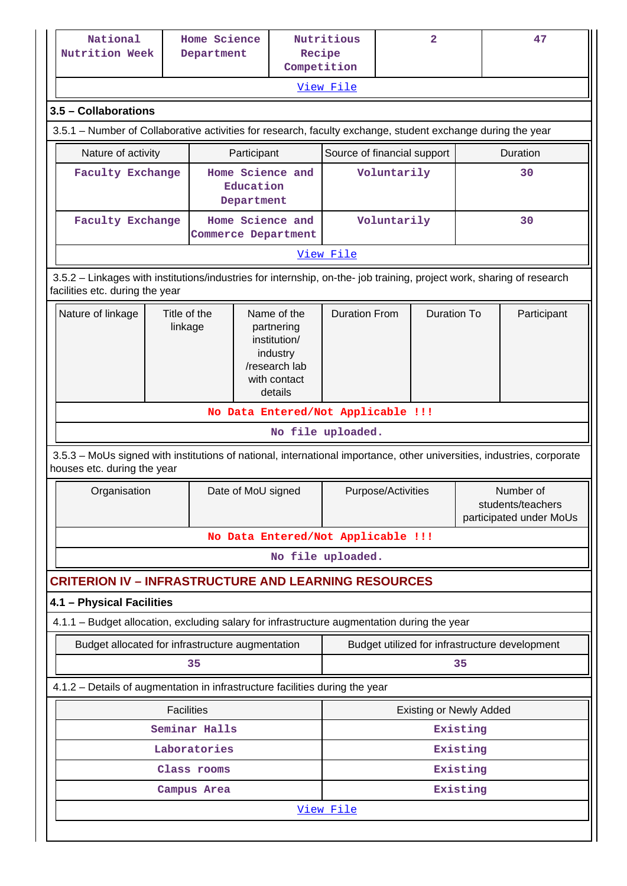|           | National<br>Nutrition Week                                                                                                                               |                         | Home Science<br>Department                  |                                                        | Recipe                                                                                            | Nutritious                         |  | $\overline{\mathbf{2}}$        |          | 47                                                        |  |
|-----------|----------------------------------------------------------------------------------------------------------------------------------------------------------|-------------------------|---------------------------------------------|--------------------------------------------------------|---------------------------------------------------------------------------------------------------|------------------------------------|--|--------------------------------|----------|-----------------------------------------------------------|--|
|           |                                                                                                                                                          |                         |                                             |                                                        | Competition                                                                                       |                                    |  |                                |          |                                                           |  |
|           |                                                                                                                                                          |                         |                                             |                                                        |                                                                                                   | View File                          |  |                                |          |                                                           |  |
|           | 3.5 - Collaborations                                                                                                                                     |                         |                                             |                                                        |                                                                                                   |                                    |  |                                |          |                                                           |  |
|           | 3.5.1 – Number of Collaborative activities for research, faculty exchange, student exchange during the year                                              |                         |                                             |                                                        |                                                                                                   |                                    |  |                                |          |                                                           |  |
|           | Nature of activity                                                                                                                                       |                         |                                             | Participant                                            |                                                                                                   | Source of financial support        |  |                                |          | Duration                                                  |  |
|           | <b>Faculty Exchange</b>                                                                                                                                  |                         | Home Science and<br>Education<br>Department |                                                        |                                                                                                   | Voluntarily                        |  |                                |          | 30                                                        |  |
|           | Faculty Exchange                                                                                                                                         |                         |                                             | Home Science and<br>Voluntarily<br>Commerce Department |                                                                                                   |                                    |  |                                | 30       |                                                           |  |
| View File |                                                                                                                                                          |                         |                                             |                                                        |                                                                                                   |                                    |  |                                |          |                                                           |  |
|           | 3.5.2 - Linkages with institutions/industries for internship, on-the- job training, project work, sharing of research<br>facilities etc. during the year |                         |                                             |                                                        |                                                                                                   |                                    |  |                                |          |                                                           |  |
|           | Nature of linkage                                                                                                                                        | Title of the<br>linkage |                                             |                                                        | Name of the<br>partnering<br>institution/<br>industry<br>/research lab<br>with contact<br>details | <b>Duration From</b>               |  | <b>Duration To</b>             |          | Participant                                               |  |
|           |                                                                                                                                                          |                         |                                             |                                                        |                                                                                                   | No Data Entered/Not Applicable !!! |  |                                |          |                                                           |  |
|           |                                                                                                                                                          |                         |                                             |                                                        |                                                                                                   | No file uploaded.                  |  |                                |          |                                                           |  |
|           | 3.5.3 - MoUs signed with institutions of national, international importance, other universities, industries, corporate<br>houses etc. during the year    |                         |                                             |                                                        |                                                                                                   |                                    |  |                                |          |                                                           |  |
|           | Organisation                                                                                                                                             |                         |                                             | Date of MoU signed                                     |                                                                                                   | Purpose/Activities                 |  |                                |          | Number of<br>students/teachers<br>participated under MoUs |  |
|           |                                                                                                                                                          |                         |                                             |                                                        |                                                                                                   | No Data Entered/Not Applicable !!! |  |                                |          |                                                           |  |
|           |                                                                                                                                                          |                         |                                             |                                                        |                                                                                                   | No file uploaded.                  |  |                                |          |                                                           |  |
|           | <b>CRITERION IV - INFRASTRUCTURE AND LEARNING RESOURCES</b>                                                                                              |                         |                                             |                                                        |                                                                                                   |                                    |  |                                |          |                                                           |  |
|           | 4.1 - Physical Facilities                                                                                                                                |                         |                                             |                                                        |                                                                                                   |                                    |  |                                |          |                                                           |  |
|           | 4.1.1 - Budget allocation, excluding salary for infrastructure augmentation during the year                                                              |                         |                                             |                                                        |                                                                                                   |                                    |  |                                |          |                                                           |  |
|           | Budget allocated for infrastructure augmentation                                                                                                         |                         |                                             |                                                        |                                                                                                   |                                    |  |                                |          | Budget utilized for infrastructure development            |  |
|           |                                                                                                                                                          |                         | 35                                          |                                                        |                                                                                                   |                                    |  |                                | 35       |                                                           |  |
|           | 4.1.2 - Details of augmentation in infrastructure facilities during the year                                                                             |                         |                                             |                                                        |                                                                                                   |                                    |  |                                |          |                                                           |  |
|           |                                                                                                                                                          | <b>Facilities</b>       |                                             |                                                        |                                                                                                   |                                    |  | <b>Existing or Newly Added</b> |          |                                                           |  |
|           | Seminar Halls                                                                                                                                            |                         |                                             |                                                        |                                                                                                   | Existing                           |  |                                |          |                                                           |  |
|           |                                                                                                                                                          |                         | Laboratories                                |                                                        |                                                                                                   |                                    |  |                                | Existing |                                                           |  |
|           |                                                                                                                                                          |                         | Class rooms                                 |                                                        |                                                                                                   |                                    |  |                                | Existing |                                                           |  |
|           |                                                                                                                                                          |                         | Campus Area                                 |                                                        |                                                                                                   | Existing                           |  |                                |          |                                                           |  |
|           |                                                                                                                                                          |                         |                                             |                                                        |                                                                                                   | View File                          |  |                                |          |                                                           |  |
|           |                                                                                                                                                          |                         |                                             |                                                        |                                                                                                   |                                    |  |                                |          |                                                           |  |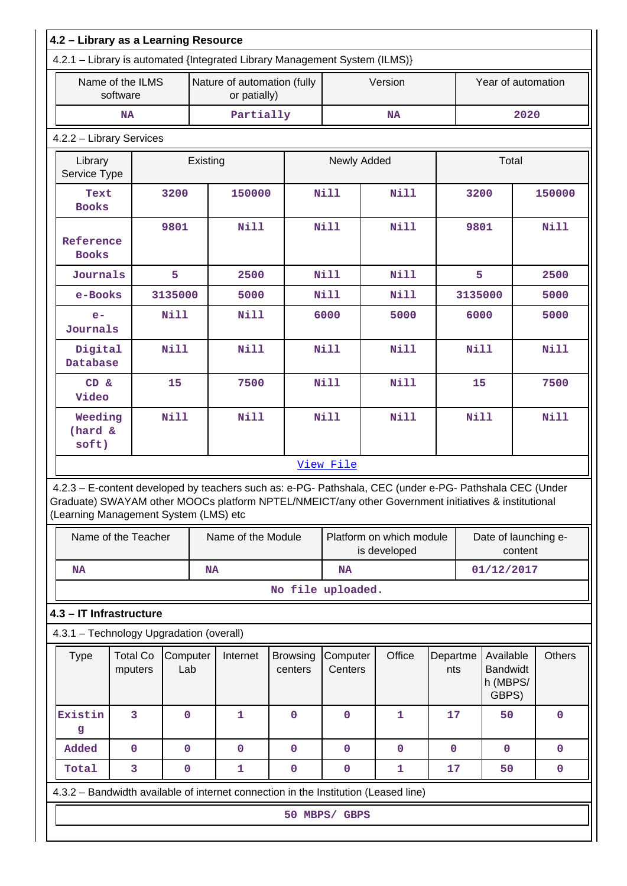| 4.2 - Library as a Learning Resource                                                                                                                                                                                                                    |                              |             |                 |                                             |                            |                            |  |                          |                 |             |                                                   |         |               |
|---------------------------------------------------------------------------------------------------------------------------------------------------------------------------------------------------------------------------------------------------------|------------------------------|-------------|-----------------|---------------------------------------------|----------------------------|----------------------------|--|--------------------------|-----------------|-------------|---------------------------------------------------|---------|---------------|
| 4.2.1 - Library is automated {Integrated Library Management System (ILMS)}                                                                                                                                                                              |                              |             |                 |                                             |                            |                            |  |                          |                 |             |                                                   |         |               |
|                                                                                                                                                                                                                                                         | Name of the ILMS<br>software |             |                 | Nature of automation (fully<br>or patially) |                            |                            |  | Version                  |                 |             | Year of automation                                |         |               |
|                                                                                                                                                                                                                                                         | <b>NA</b>                    |             |                 | Partially                                   |                            |                            |  | <b>NA</b>                |                 |             |                                                   | 2020    |               |
| 4.2.2 - Library Services                                                                                                                                                                                                                                |                              |             |                 |                                             |                            |                            |  |                          |                 |             |                                                   |         |               |
| Library<br>Service Type                                                                                                                                                                                                                                 |                              |             | Existing        |                                             | Newly Added                |                            |  |                          | Total           |             |                                                   |         |               |
| Text<br><b>Books</b>                                                                                                                                                                                                                                    | 3200                         |             |                 | 150000                                      |                            | Nill                       |  | Nill                     |                 | 3200        |                                                   |         | 150000        |
| 9801<br>Reference<br><b>Books</b>                                                                                                                                                                                                                       |                              |             |                 | <b>Nill</b>                                 |                            | <b>Nill</b>                |  | <b>Nill</b>              |                 | 9801        |                                                   |         | Nill          |
|                                                                                                                                                                                                                                                         | Journals<br>5                |             |                 | 2500                                        |                            | <b>Nill</b>                |  | <b>Nill</b>              |                 | 5           |                                                   |         | 2500          |
|                                                                                                                                                                                                                                                         | 3135000<br>e-Books           |             |                 | 5000                                        |                            | Nill                       |  | <b>Nill</b>              |                 | 3135000     |                                                   |         | 5000          |
| $e-$                                                                                                                                                                                                                                                    | <b>Nill</b><br>Journals      |             |                 | <b>Nill</b>                                 |                            | 6000                       |  | 5000                     |                 | 6000        |                                                   |         | 5000          |
| <b>Nill</b><br>Digital<br>Database                                                                                                                                                                                                                      |                              |             |                 | <b>Nill</b>                                 |                            | <b>Nill</b>                |  | <b>Nill</b>              |                 | <b>Nill</b> |                                                   |         | <b>Nill</b>   |
| CD &<br>Video                                                                                                                                                                                                                                           | 15                           |             |                 | 7500                                        |                            | <b>Nill</b><br><b>Nill</b> |  |                          | 15              |             |                                                   | 7500    |               |
| Weeding<br>(hard &<br>soft)                                                                                                                                                                                                                             |                              | <b>Nill</b> |                 | <b>Nill</b>                                 |                            | <b>Nill</b>                |  | <b>Nill</b>              |                 | <b>Nill</b> |                                                   |         | Nill          |
| 4.2.3 - E-content developed by teachers such as: e-PG- Pathshala, CEC (under e-PG- Pathshala CEC (Under<br>Graduate) SWAYAM other MOOCs platform NPTEL/NMEICT/any other Government initiatives & institutional<br>(Learning Management System (LMS) etc | Name of the Teacher          |             |                 | Name of the Module                          |                            | View File                  |  | Platform on which module |                 |             | Date of launching e-                              |         |               |
|                                                                                                                                                                                                                                                         |                              |             |                 |                                             |                            |                            |  | is developed             |                 |             |                                                   | content |               |
| <b>NA</b>                                                                                                                                                                                                                                               |                              |             | <b>NA</b>       |                                             |                            | <b>NA</b>                  |  |                          |                 |             | 01/12/2017                                        |         |               |
|                                                                                                                                                                                                                                                         |                              |             |                 |                                             | No file uploaded.          |                            |  |                          |                 |             |                                                   |         |               |
| 4.3 - IT Infrastructure                                                                                                                                                                                                                                 |                              |             |                 |                                             |                            |                            |  |                          |                 |             |                                                   |         |               |
| 4.3.1 - Technology Upgradation (overall)                                                                                                                                                                                                                |                              |             |                 |                                             |                            |                            |  |                          |                 |             |                                                   |         |               |
| <b>Type</b>                                                                                                                                                                                                                                             | <b>Total Co</b><br>mputers   |             | Computer<br>Lab | Internet                                    | <b>Browsing</b><br>centers | Computer<br>Centers        |  | Office                   | Departme<br>nts |             | Available<br><b>Bandwidt</b><br>h (MBPS/<br>GBPS) |         | <b>Others</b> |
| Existin<br>g                                                                                                                                                                                                                                            | 3                            | $\mathbf 0$ |                 | $\mathbf{1}$                                | $\mathbf 0$                | $\mathbf 0$                |  | $\mathbf{1}$             | 17              |             | 50                                                |         | $\pmb{0}$     |
| Added                                                                                                                                                                                                                                                   | $\mathbf 0$                  | $\mathbf 0$ |                 | $\mathbf 0$                                 | $\mathbf 0$                | $\mathbf 0$                |  | $\mathbf 0$              | $\mathbf 0$     |             | $\mathbf 0$                                       |         | $\mathbf 0$   |
| Total                                                                                                                                                                                                                                                   | 3                            | 0           |                 | $\mathbf{1}$                                | $\mathbf 0$                | $\mathbf 0$                |  | 1                        | 17              |             | 50                                                |         | 0             |
| 4.3.2 – Bandwidth available of internet connection in the Institution (Leased line)                                                                                                                                                                     |                              |             |                 |                                             |                            |                            |  |                          |                 |             |                                                   |         |               |
|                                                                                                                                                                                                                                                         |                              |             |                 |                                             |                            | 50 MBPS/ GBPS              |  |                          |                 |             |                                                   |         |               |
|                                                                                                                                                                                                                                                         |                              |             |                 |                                             |                            |                            |  |                          |                 |             |                                                   |         |               |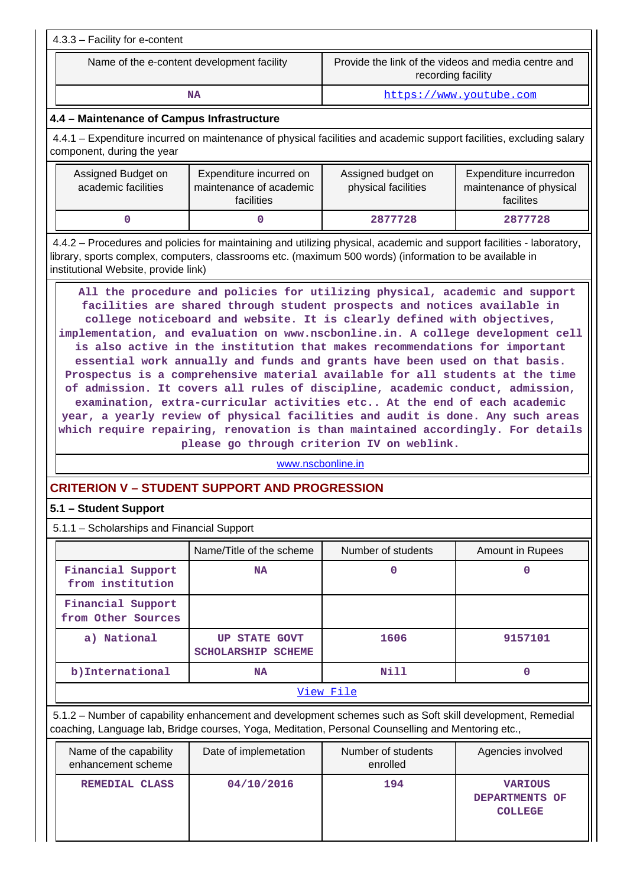| 4.3.3 - Facility for e-content                                                                                                                                                                                                                                           |                                                                                                                                                                                                                                                                                                                                                                                                                                                                                                                                                                                                                                                                                                                                                                                                                                                                     |                                           |                                                                |  |  |  |  |  |  |  |
|--------------------------------------------------------------------------------------------------------------------------------------------------------------------------------------------------------------------------------------------------------------------------|---------------------------------------------------------------------------------------------------------------------------------------------------------------------------------------------------------------------------------------------------------------------------------------------------------------------------------------------------------------------------------------------------------------------------------------------------------------------------------------------------------------------------------------------------------------------------------------------------------------------------------------------------------------------------------------------------------------------------------------------------------------------------------------------------------------------------------------------------------------------|-------------------------------------------|----------------------------------------------------------------|--|--|--|--|--|--|--|
| Provide the link of the videos and media centre and<br>Name of the e-content development facility<br>recording facility                                                                                                                                                  |                                                                                                                                                                                                                                                                                                                                                                                                                                                                                                                                                                                                                                                                                                                                                                                                                                                                     |                                           |                                                                |  |  |  |  |  |  |  |
|                                                                                                                                                                                                                                                                          | <b>NA</b>                                                                                                                                                                                                                                                                                                                                                                                                                                                                                                                                                                                                                                                                                                                                                                                                                                                           |                                           | https://www.youtube.com                                        |  |  |  |  |  |  |  |
| 4.4 - Maintenance of Campus Infrastructure                                                                                                                                                                                                                               |                                                                                                                                                                                                                                                                                                                                                                                                                                                                                                                                                                                                                                                                                                                                                                                                                                                                     |                                           |                                                                |  |  |  |  |  |  |  |
| 4.4.1 – Expenditure incurred on maintenance of physical facilities and academic support facilities, excluding salary<br>component, during the year                                                                                                                       |                                                                                                                                                                                                                                                                                                                                                                                                                                                                                                                                                                                                                                                                                                                                                                                                                                                                     |                                           |                                                                |  |  |  |  |  |  |  |
| Assigned Budget on<br>academic facilities                                                                                                                                                                                                                                | Expenditure incurred on<br>maintenance of academic<br>facilities                                                                                                                                                                                                                                                                                                                                                                                                                                                                                                                                                                                                                                                                                                                                                                                                    | Assigned budget on<br>physical facilities | Expenditure incurredon<br>maintenance of physical<br>facilites |  |  |  |  |  |  |  |
| 0<br>0<br>2877728<br>2877728                                                                                                                                                                                                                                             |                                                                                                                                                                                                                                                                                                                                                                                                                                                                                                                                                                                                                                                                                                                                                                                                                                                                     |                                           |                                                                |  |  |  |  |  |  |  |
| 4.4.2 – Procedures and policies for maintaining and utilizing physical, academic and support facilities - laboratory,<br>library, sports complex, computers, classrooms etc. (maximum 500 words) (information to be available in<br>institutional Website, provide link) |                                                                                                                                                                                                                                                                                                                                                                                                                                                                                                                                                                                                                                                                                                                                                                                                                                                                     |                                           |                                                                |  |  |  |  |  |  |  |
|                                                                                                                                                                                                                                                                          | facilities are shared through student prospects and notices available in<br>college noticeboard and website. It is clearly defined with objectives,<br>implementation, and evaluation on www.nscbonline.in. A college development cell<br>is also active in the institution that makes recommendations for important<br>essential work annually and funds and grants have been used on that basis.<br>Prospectus is a comprehensive material available for all students at the time<br>of admission. It covers all rules of discipline, academic conduct, admission,<br>examination, extra-curricular activities etc At the end of each academic<br>year, a yearly review of physical facilities and audit is done. Any such areas<br>which require repairing, renovation is than maintained accordingly. For details<br>please go through criterion IV on weblink. |                                           |                                                                |  |  |  |  |  |  |  |
|                                                                                                                                                                                                                                                                          | www.nscbonline.in                                                                                                                                                                                                                                                                                                                                                                                                                                                                                                                                                                                                                                                                                                                                                                                                                                                   |                                           |                                                                |  |  |  |  |  |  |  |
| <b>CRITERION V - STUDENT SUPPORT AND PROGRESSION</b>                                                                                                                                                                                                                     |                                                                                                                                                                                                                                                                                                                                                                                                                                                                                                                                                                                                                                                                                                                                                                                                                                                                     |                                           |                                                                |  |  |  |  |  |  |  |
| 5.1 - Student Support                                                                                                                                                                                                                                                    |                                                                                                                                                                                                                                                                                                                                                                                                                                                                                                                                                                                                                                                                                                                                                                                                                                                                     |                                           |                                                                |  |  |  |  |  |  |  |
| 5.1.1 - Scholarships and Financial Support                                                                                                                                                                                                                               |                                                                                                                                                                                                                                                                                                                                                                                                                                                                                                                                                                                                                                                                                                                                                                                                                                                                     |                                           |                                                                |  |  |  |  |  |  |  |
|                                                                                                                                                                                                                                                                          | Name/Title of the scheme                                                                                                                                                                                                                                                                                                                                                                                                                                                                                                                                                                                                                                                                                                                                                                                                                                            | Number of students                        | <b>Amount in Rupees</b>                                        |  |  |  |  |  |  |  |
| Financial Support<br>from institution                                                                                                                                                                                                                                    | <b>NA</b>                                                                                                                                                                                                                                                                                                                                                                                                                                                                                                                                                                                                                                                                                                                                                                                                                                                           | 0                                         | $\mathbf 0$                                                    |  |  |  |  |  |  |  |
| Financial Support<br>from Other Sources                                                                                                                                                                                                                                  |                                                                                                                                                                                                                                                                                                                                                                                                                                                                                                                                                                                                                                                                                                                                                                                                                                                                     |                                           |                                                                |  |  |  |  |  |  |  |
| a) National                                                                                                                                                                                                                                                              | <b>UP STATE GOVT</b><br><b>SCHOLARSHIP SCHEME</b>                                                                                                                                                                                                                                                                                                                                                                                                                                                                                                                                                                                                                                                                                                                                                                                                                   | 1606                                      | 9157101                                                        |  |  |  |  |  |  |  |
| b) International                                                                                                                                                                                                                                                         | <b>NA</b>                                                                                                                                                                                                                                                                                                                                                                                                                                                                                                                                                                                                                                                                                                                                                                                                                                                           | <b>Nill</b>                               | $\mathbf 0$                                                    |  |  |  |  |  |  |  |
| View File                                                                                                                                                                                                                                                                |                                                                                                                                                                                                                                                                                                                                                                                                                                                                                                                                                                                                                                                                                                                                                                                                                                                                     |                                           |                                                                |  |  |  |  |  |  |  |
| 5.1.2 - Number of capability enhancement and development schemes such as Soft skill development, Remedial<br>coaching, Language lab, Bridge courses, Yoga, Meditation, Personal Counselling and Mentoring etc.,                                                          |                                                                                                                                                                                                                                                                                                                                                                                                                                                                                                                                                                                                                                                                                                                                                                                                                                                                     |                                           |                                                                |  |  |  |  |  |  |  |
| Name of the capability<br>enhancement scheme                                                                                                                                                                                                                             | Date of implemetation                                                                                                                                                                                                                                                                                                                                                                                                                                                                                                                                                                                                                                                                                                                                                                                                                                               | Number of students<br>enrolled            | Agencies involved                                              |  |  |  |  |  |  |  |
| REMEDIAL CLASS                                                                                                                                                                                                                                                           | 04/10/2016<br>194<br><b>VARIOUS</b><br>DEPARTMENTS OF<br><b>COLLEGE</b>                                                                                                                                                                                                                                                                                                                                                                                                                                                                                                                                                                                                                                                                                                                                                                                             |                                           |                                                                |  |  |  |  |  |  |  |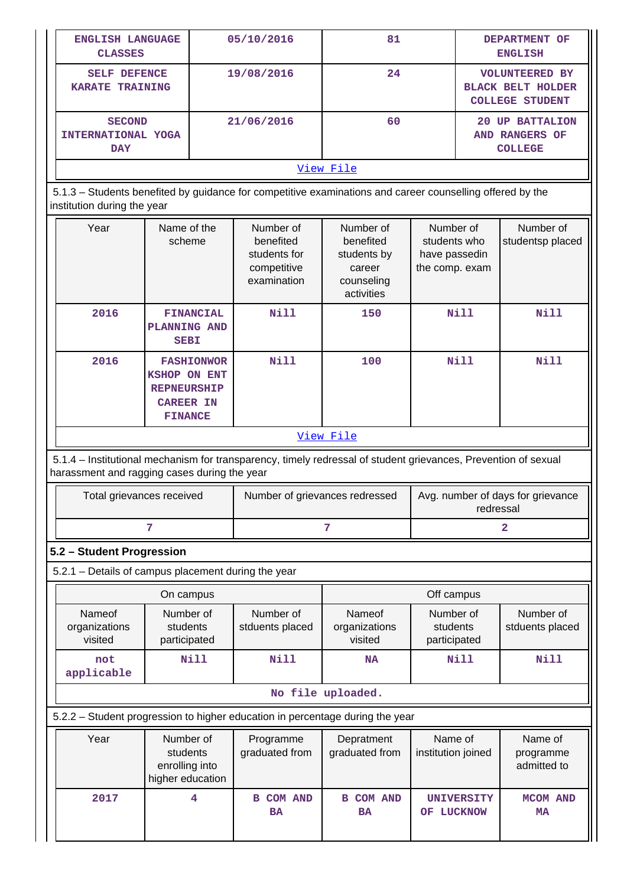| ENGLISH LANGUAGE<br><b>CLASSES</b>                  |                                                                                                      | 05/10/2016                                                                                                     | 81                                                                          |                                                              | DEPARTMENT OF<br><b>ENGLISH</b>                                             |                                                            |  |  |
|-----------------------------------------------------|------------------------------------------------------------------------------------------------------|----------------------------------------------------------------------------------------------------------------|-----------------------------------------------------------------------------|--------------------------------------------------------------|-----------------------------------------------------------------------------|------------------------------------------------------------|--|--|
| <b>SELF DEFENCE</b><br><b>KARATE TRAINING</b>       |                                                                                                      | 19/08/2016                                                                                                     | 24                                                                          |                                                              | <b>VOLUNTEERED BY</b><br><b>BLACK BELT HOLDER</b><br><b>COLLEGE STUDENT</b> |                                                            |  |  |
| <b>SECOND</b><br>INTERNATIONAL YOGA<br><b>DAY</b>   |                                                                                                      | 21/06/2016                                                                                                     | 60                                                                          |                                                              |                                                                             | <b>20 UP BATTALION</b><br>AND RANGERS OF<br><b>COLLEGE</b> |  |  |
|                                                     |                                                                                                      |                                                                                                                | View File                                                                   |                                                              |                                                                             |                                                            |  |  |
| institution during the year                         |                                                                                                      | 5.1.3 - Students benefited by guidance for competitive examinations and career counselling offered by the      |                                                                             |                                                              |                                                                             |                                                            |  |  |
| Year                                                | Name of the<br>scheme                                                                                | Number of<br>benefited<br>students for<br>competitive<br>examination                                           | Number of<br>benefited<br>students by<br>career<br>counseling<br>activities | Number of<br>students who<br>have passedin<br>the comp. exam |                                                                             | Number of<br>studentsp placed                              |  |  |
| 2016                                                | <b>FINANCIAL</b><br><b>PLANNING AND</b><br><b>SEBI</b>                                               | <b>Nill</b>                                                                                                    | 150                                                                         |                                                              | <b>Nill</b>                                                                 | <b>Nill</b>                                                |  |  |
| 2016                                                | <b>FASHIONWOR</b><br><b>KSHOP ON ENT</b><br><b>REPNEURSHIP</b><br><b>CAREER IN</b><br><b>FINANCE</b> | Nill                                                                                                           | 100                                                                         |                                                              | <b>Nill</b>                                                                 | Nill                                                       |  |  |
|                                                     |                                                                                                      |                                                                                                                | View File                                                                   |                                                              |                                                                             |                                                            |  |  |
| harassment and ragging cases during the year        |                                                                                                      | 5.1.4 - Institutional mechanism for transparency, timely redressal of student grievances, Prevention of sexual |                                                                             |                                                              |                                                                             |                                                            |  |  |
| Total grievances received                           |                                                                                                      |                                                                                                                | Number of grievances redressed                                              |                                                              |                                                                             | Avg. number of days for grievance<br>redressal             |  |  |
|                                                     | 7                                                                                                    |                                                                                                                | 7                                                                           | $\overline{2}$                                               |                                                                             |                                                            |  |  |
| 5.2 - Student Progression                           |                                                                                                      |                                                                                                                |                                                                             |                                                              |                                                                             |                                                            |  |  |
| 5.2.1 - Details of campus placement during the year |                                                                                                      |                                                                                                                |                                                                             |                                                              |                                                                             |                                                            |  |  |
|                                                     | On campus                                                                                            |                                                                                                                |                                                                             | Off campus                                                   |                                                                             |                                                            |  |  |
| Nameof<br>organizations<br>visited                  | Number of<br>students<br>participated                                                                | Number of<br>stduents placed                                                                                   | Nameof<br>organizations<br>visited                                          | Number of<br>students<br>participated                        |                                                                             | Number of<br>stduents placed                               |  |  |
| not<br>applicable                                   | <b>Nill</b>                                                                                          | Nill                                                                                                           | <b>NA</b>                                                                   |                                                              | <b>Nill</b>                                                                 | Nill                                                       |  |  |
|                                                     |                                                                                                      |                                                                                                                | No file uploaded.                                                           |                                                              |                                                                             |                                                            |  |  |
|                                                     |                                                                                                      | 5.2.2 - Student progression to higher education in percentage during the year                                  |                                                                             |                                                              |                                                                             |                                                            |  |  |
| Year                                                | Number of<br>students<br>enrolling into<br>higher education                                          | Programme<br>graduated from                                                                                    | Depratment<br>graduated from                                                | Name of<br>institution joined                                |                                                                             | Name of<br>programme<br>admitted to                        |  |  |
| 2017                                                | 4                                                                                                    | <b>B COM AND</b><br><b>BA</b>                                                                                  | <b>COM AND</b><br>в<br><b>BA</b>                                            | OF LUCKNOW                                                   | <b>UNIVERSITY</b>                                                           | <b>MCOM AND</b><br><b>MA</b>                               |  |  |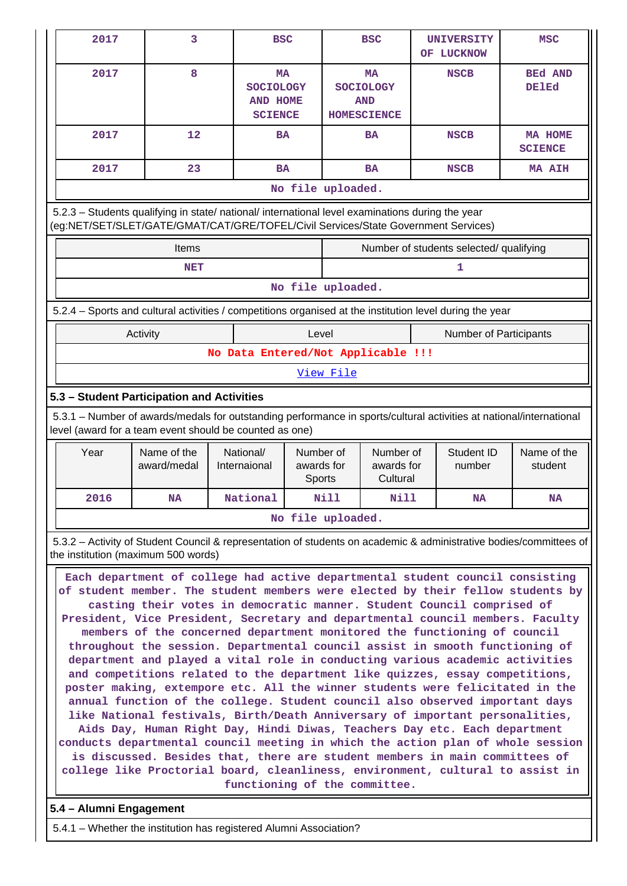| 2017                                                                                                                                                                                   | 3                          | <b>BSC</b>                                                         |                                   |           | <b>BSC</b>                                                        |  | <b>UNIVERSITY</b><br>OF LUCKNOW         | <b>MSC</b>                     |  |
|----------------------------------------------------------------------------------------------------------------------------------------------------------------------------------------|----------------------------|--------------------------------------------------------------------|-----------------------------------|-----------|-------------------------------------------------------------------|--|-----------------------------------------|--------------------------------|--|
| 2017                                                                                                                                                                                   | 8                          | <b>MA</b><br><b>SOCIOLOGY</b><br><b>AND HOME</b><br><b>SCIENCE</b> |                                   |           | <b>MA</b><br><b>SOCIOLOGY</b><br><b>AND</b><br><b>HOMESCIENCE</b> |  | <b>NSCB</b>                             | <b>BEd AND</b><br><b>DE1Ed</b> |  |
| 2017                                                                                                                                                                                   | 12                         | <b>BA</b>                                                          |                                   |           | <b>BA</b>                                                         |  | <b>NSCB</b>                             | MA HOME<br><b>SCIENCE</b>      |  |
| 2017                                                                                                                                                                                   | 23                         | <b>BA</b>                                                          |                                   |           | <b>BA</b>                                                         |  | <b>NSCB</b>                             | <b>MA AIH</b>                  |  |
|                                                                                                                                                                                        |                            |                                                                    | No file uploaded.                 |           |                                                                   |  |                                         |                                |  |
| 5.2.3 - Students qualifying in state/ national/ international level examinations during the year<br>(eg:NET/SET/SLET/GATE/GMAT/CAT/GRE/TOFEL/Civil Services/State Government Services) |                            |                                                                    |                                   |           |                                                                   |  |                                         |                                |  |
|                                                                                                                                                                                        | <b>Items</b>               |                                                                    |                                   |           |                                                                   |  | Number of students selected/ qualifying |                                |  |
|                                                                                                                                                                                        | <b>NET</b>                 |                                                                    |                                   |           |                                                                   |  | 1                                       |                                |  |
|                                                                                                                                                                                        |                            |                                                                    | No file uploaded.                 |           |                                                                   |  |                                         |                                |  |
| 5.2.4 – Sports and cultural activities / competitions organised at the institution level during the year                                                                               |                            |                                                                    |                                   |           |                                                                   |  |                                         |                                |  |
|                                                                                                                                                                                        | Activity                   |                                                                    | Level                             |           |                                                                   |  | <b>Number of Participants</b>           |                                |  |
|                                                                                                                                                                                        |                            | No Data Entered/Not Applicable !!!                                 |                                   |           |                                                                   |  |                                         |                                |  |
|                                                                                                                                                                                        |                            |                                                                    |                                   | View File |                                                                   |  |                                         |                                |  |
| 5.3 - Student Participation and Activities                                                                                                                                             |                            |                                                                    |                                   |           |                                                                   |  |                                         |                                |  |
| 5.3.1 – Number of awards/medals for outstanding performance in sports/cultural activities at national/international<br>level (award for a team event should be counted as one)         |                            |                                                                    |                                   |           |                                                                   |  |                                         |                                |  |
| Year                                                                                                                                                                                   | Name of the<br>award/medal | National/<br>Internaional                                          | Number of<br>awards for<br>Sports |           | Number of<br>awards for<br>Cultural                               |  | Student ID<br>number                    | Name of the<br>student         |  |

| No file uploaded.                                                                                              |
|----------------------------------------------------------------------------------------------------------------|
| $532 -$ Activity of Student Council & representation of students on academic & administrative hodies/committed |

 5.3.2 – Activity of Student Council & representation of students on academic & administrative bodies/committees of the institution (maximum 500 words)

 **2016 NA National Nill Nill NA NA**

 **Each department of college had active departmental student council consisting of student member. The student members were elected by their fellow students by casting their votes in democratic manner. Student Council comprised of President, Vice President, Secretary and departmental council members. Faculty members of the concerned department monitored the functioning of council throughout the session. Departmental council assist in smooth functioning of department and played a vital role in conducting various academic activities and competitions related to the department like quizzes, essay competitions, poster making, extempore etc. All the winner students were felicitated in the annual function of the college. Student council also observed important days like National festivals, Birth/Death Anniversary of important personalities, Aids Day, Human Right Day, Hindi Diwas, Teachers Day etc. Each department conducts departmental council meeting in which the action plan of whole session is discussed. Besides that, there are student members in main committees of college like Proctorial board, cleanliness, environment, cultural to assist in functioning of the committee.**

## **5.4 – Alumni Engagement**

 $\Box$ 

5.4.1 – Whether the institution has registered Alumni Association?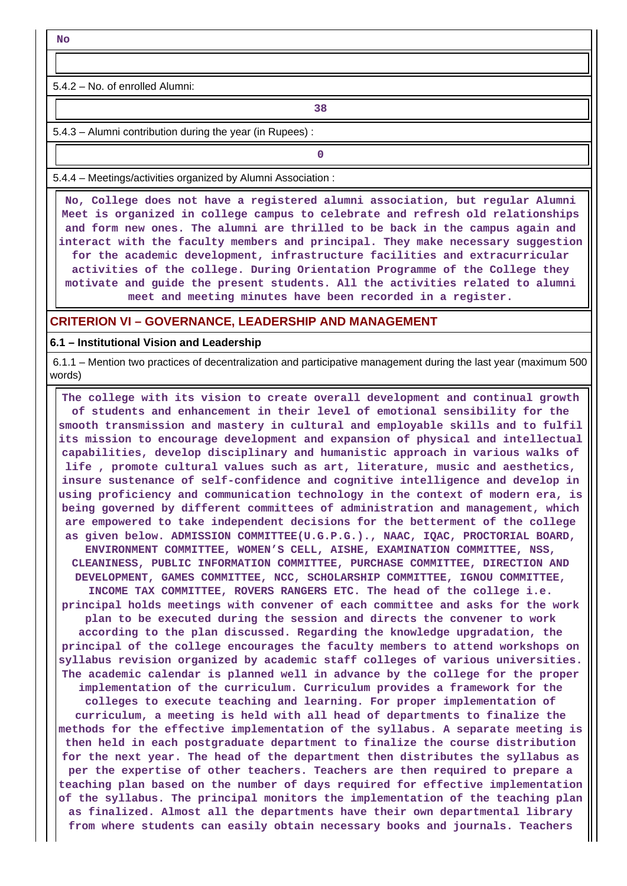**No**

5.4.2 – No. of enrolled Alumni:

**1 38** 

5.4.3 – Alumni contribution during the year (in Rupees) :

**0**

5.4.4 – Meetings/activities organized by Alumni Association :

 **No, College does not have a registered alumni association, but regular Alumni Meet is organized in college campus to celebrate and refresh old relationships and form new ones. The alumni are thrilled to be back in the campus again and interact with the faculty members and principal. They make necessary suggestion for the academic development, infrastructure facilities and extracurricular activities of the college. During Orientation Programme of the College they motivate and guide the present students. All the activities related to alumni meet and meeting minutes have been recorded in a register.**

#### **CRITERION VI – GOVERNANCE, LEADERSHIP AND MANAGEMENT**

**6.1 – Institutional Vision and Leadership**

 6.1.1 – Mention two practices of decentralization and participative management during the last year (maximum 500 words)

 **The college with its vision to create overall development and continual growth of students and enhancement in their level of emotional sensibility for the smooth transmission and mastery in cultural and employable skills and to fulfil its mission to encourage development and expansion of physical and intellectual capabilities, develop disciplinary and humanistic approach in various walks of life , promote cultural values such as art, literature, music and aesthetics, insure sustenance of self-confidence and cognitive intelligence and develop in using proficiency and communication technology in the context of modern era, is being governed by different committees of administration and management, which are empowered to take independent decisions for the betterment of the college as given below. ADMISSION COMMITTEE(U.G.P.G.)., NAAC, IQAC, PROCTORIAL BOARD, ENVIRONMENT COMMITTEE, WOMEN'S CELL, AISHE, EXAMINATION COMMITTEE, NSS, CLEANINESS, PUBLIC INFORMATION COMMITTEE, PURCHASE COMMITTEE, DIRECTION AND DEVELOPMENT, GAMES COMMITTEE, NCC, SCHOLARSHIP COMMITTEE, IGNOU COMMITTEE, INCOME TAX COMMITTEE, ROVERS RANGERS ETC. The head of the college i.e. principal holds meetings with convener of each committee and asks for the work plan to be executed during the session and directs the convener to work according to the plan discussed. Regarding the knowledge upgradation, the principal of the college encourages the faculty members to attend workshops on syllabus revision organized by academic staff colleges of various universities. The academic calendar is planned well in advance by the college for the proper implementation of the curriculum. Curriculum provides a framework for the colleges to execute teaching and learning. For proper implementation of curriculum, a meeting is held with all head of departments to finalize the methods for the effective implementation of the syllabus. A separate meeting is then held in each postgraduate department to finalize the course distribution for the next year. The head of the department then distributes the syllabus as per the expertise of other teachers. Teachers are then required to prepare a teaching plan based on the number of days required for effective implementation of the syllabus. The principal monitors the implementation of the teaching plan as finalized. Almost all the departments have their own departmental library from where students can easily obtain necessary books and journals. Teachers**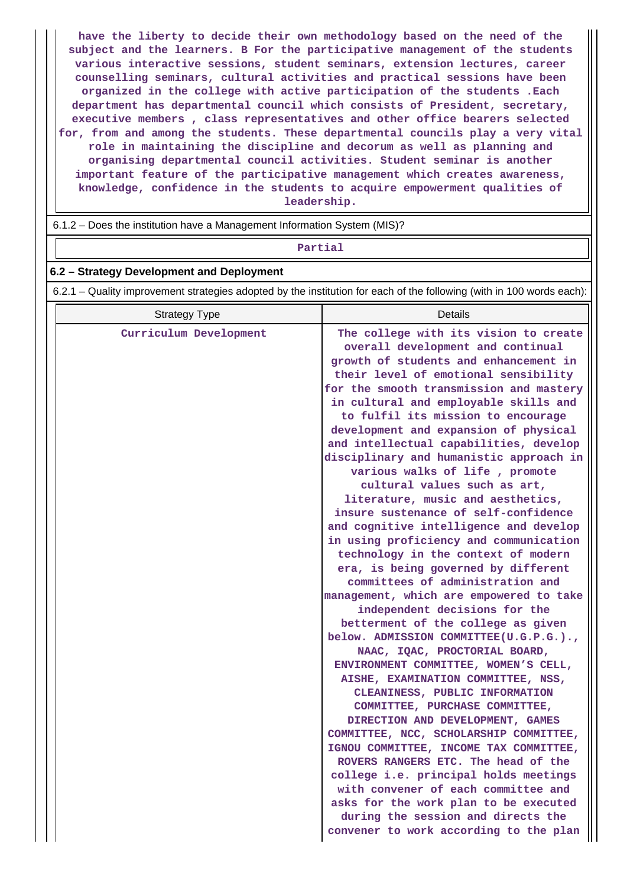**have the liberty to decide their own methodology based on the need of the subject and the learners. B For the participative management of the students various interactive sessions, student seminars, extension lectures, career counselling seminars, cultural activities and practical sessions have been organized in the college with active participation of the students .Each department has departmental council which consists of President, secretary, executive members , class representatives and other office bearers selected for, from and among the students. These departmental councils play a very vital role in maintaining the discipline and decorum as well as planning and organising departmental council activities. Student seminar is another important feature of the participative management which creates awareness, knowledge, confidence in the students to acquire empowerment qualities of leadership.**

6.1.2 – Does the institution have a Management Information System (MIS)?

#### **Partial**

### **6.2 – Strategy Development and Deployment**

6.2.1 – Quality improvement strategies adopted by the institution for each of the following (with in 100 words each):

| <b>Strategy Type</b>   | Details                                                                                                                                                                                                                                                                                                                                                                                                                                                                                                                                                                                                                                                                                                                                                                                                                                                                                                                                                                                                                                                                                                                                                                                                                                                                                                                                                                                                                                                                                         |  |  |
|------------------------|-------------------------------------------------------------------------------------------------------------------------------------------------------------------------------------------------------------------------------------------------------------------------------------------------------------------------------------------------------------------------------------------------------------------------------------------------------------------------------------------------------------------------------------------------------------------------------------------------------------------------------------------------------------------------------------------------------------------------------------------------------------------------------------------------------------------------------------------------------------------------------------------------------------------------------------------------------------------------------------------------------------------------------------------------------------------------------------------------------------------------------------------------------------------------------------------------------------------------------------------------------------------------------------------------------------------------------------------------------------------------------------------------------------------------------------------------------------------------------------------------|--|--|
| Curriculum Development | The college with its vision to create<br>overall development and continual<br>growth of students and enhancement in<br>their level of emotional sensibility<br>for the smooth transmission and mastery<br>in cultural and employable skills and<br>to fulfil its mission to encourage<br>development and expansion of physical<br>and intellectual capabilities, develop<br>disciplinary and humanistic approach in<br>various walks of life, promote<br>cultural values such as art,<br>literature, music and aesthetics,<br>insure sustenance of self-confidence<br>and cognitive intelligence and develop<br>in using proficiency and communication<br>technology in the context of modern<br>era, is being governed by different<br>committees of administration and<br>management, which are empowered to take<br>independent decisions for the<br>betterment of the college as given<br>below. ADMISSION COMMITTEE(U.G.P.G.).,<br>NAAC, IQAC, PROCTORIAL BOARD,<br>ENVIRONMENT COMMITTEE, WOMEN'S CELL,<br>AISHE, EXAMINATION COMMITTEE, NSS,<br>CLEANINESS, PUBLIC INFORMATION<br>COMMITTEE, PURCHASE COMMITTEE,<br>DIRECTION AND DEVELOPMENT, GAMES<br>COMMITTEE, NCC, SCHOLARSHIP COMMITTEE,<br>IGNOU COMMITTEE, INCOME TAX COMMITTEE,<br>ROVERS RANGERS ETC. The head of the<br>college i.e. principal holds meetings<br>with convener of each committee and<br>asks for the work plan to be executed<br>during the session and directs the<br>convener to work according to the plan |  |  |
|                        |                                                                                                                                                                                                                                                                                                                                                                                                                                                                                                                                                                                                                                                                                                                                                                                                                                                                                                                                                                                                                                                                                                                                                                                                                                                                                                                                                                                                                                                                                                 |  |  |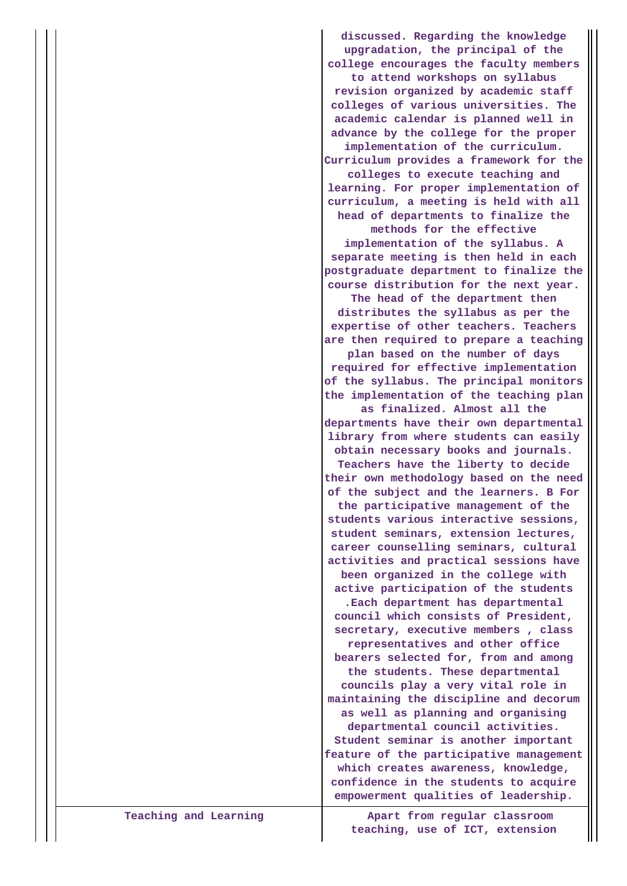**discussed. Regarding the knowledge upgradation, the principal of the college encourages the faculty members to attend workshops on syllabus revision organized by academic staff colleges of various universities. The academic calendar is planned well in advance by the college for the proper implementation of the curriculum. Curriculum provides a framework for the colleges to execute teaching and learning. For proper implementation of curriculum, a meeting is held with all head of departments to finalize the methods for the effective implementation of the syllabus. A separate meeting is then held in each postgraduate department to finalize the course distribution for the next year. The head of the department then distributes the syllabus as per the expertise of other teachers. Teachers are then required to prepare a teaching plan based on the number of days required for effective implementation of the syllabus. The principal monitors the implementation of the teaching plan as finalized. Almost all the departments have their own departmental library from where students can easily obtain necessary books and journals. Teachers have the liberty to decide their own methodology based on the need of the subject and the learners. B For the participative management of the students various interactive sessions, student seminars, extension lectures, career counselling seminars, cultural activities and practical sessions have been organized in the college with active participation of the students .Each department has departmental council which consists of President, secretary, executive members , class representatives and other office bearers selected for, from and among the students. These departmental councils play a very vital role in maintaining the discipline and decorum as well as planning and organising departmental council activities. Student seminar is another important feature of the participative management which creates awareness, knowledge, confidence in the students to acquire empowerment qualities of leadership.**

**Teaching and Learning Apart from regular classroom teaching, use of ICT, extension**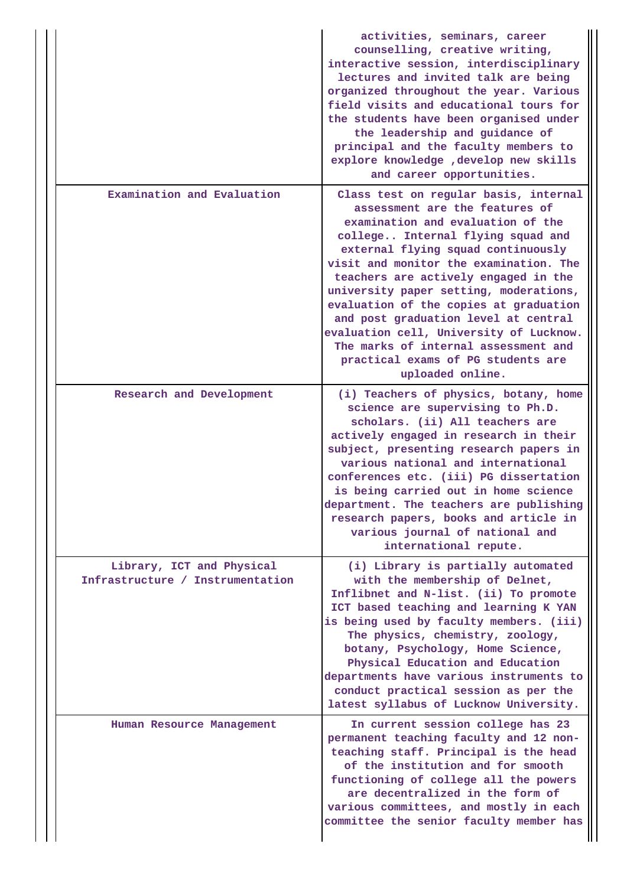|                                                               | activities, seminars, career<br>counselling, creative writing,<br>interactive session, interdisciplinary<br>lectures and invited talk are being<br>organized throughout the year. Various<br>field visits and educational tours for<br>the students have been organised under<br>the leadership and guidance of<br>principal and the faculty members to<br>explore knowledge , develop new skills<br>and career opportunities.                                                                                                                     |
|---------------------------------------------------------------|----------------------------------------------------------------------------------------------------------------------------------------------------------------------------------------------------------------------------------------------------------------------------------------------------------------------------------------------------------------------------------------------------------------------------------------------------------------------------------------------------------------------------------------------------|
| Examination and Evaluation                                    | Class test on regular basis, internal<br>assessment are the features of<br>examination and evaluation of the<br>college Internal flying squad and<br>external flying squad continuously<br>visit and monitor the examination. The<br>teachers are actively engaged in the<br>university paper setting, moderations,<br>evaluation of the copies at graduation<br>and post graduation level at central<br>evaluation cell, University of Lucknow.<br>The marks of internal assessment and<br>practical exams of PG students are<br>uploaded online. |
| Research and Development                                      | (i) Teachers of physics, botany, home<br>science are supervising to Ph.D.<br>scholars. (ii) All teachers are<br>actively engaged in research in their<br>subject, presenting research papers in<br>various national and international<br>conferences etc. (iii) PG dissertation<br>is being carried out in home science<br>department. The teachers are publishing<br>research papers, books and article in<br>various journal of national and<br>international repute.                                                                            |
| Library, ICT and Physical<br>Infrastructure / Instrumentation | (i) Library is partially automated<br>with the membership of Delnet,<br>Inflibnet and N-list. (ii) To promote<br>ICT based teaching and learning K YAN<br>is being used by faculty members. (iii)<br>The physics, chemistry, zoology,<br>botany, Psychology, Home Science,<br>Physical Education and Education<br>departments have various instruments to<br>conduct practical session as per the<br>latest syllabus of Lucknow University.                                                                                                        |
| Human Resource Management                                     | In current session college has 23<br>permanent teaching faculty and 12 non-<br>teaching staff. Principal is the head<br>of the institution and for smooth<br>functioning of college all the powers<br>are decentralized in the form of<br>various committees, and mostly in each<br>committee the senior faculty member has                                                                                                                                                                                                                        |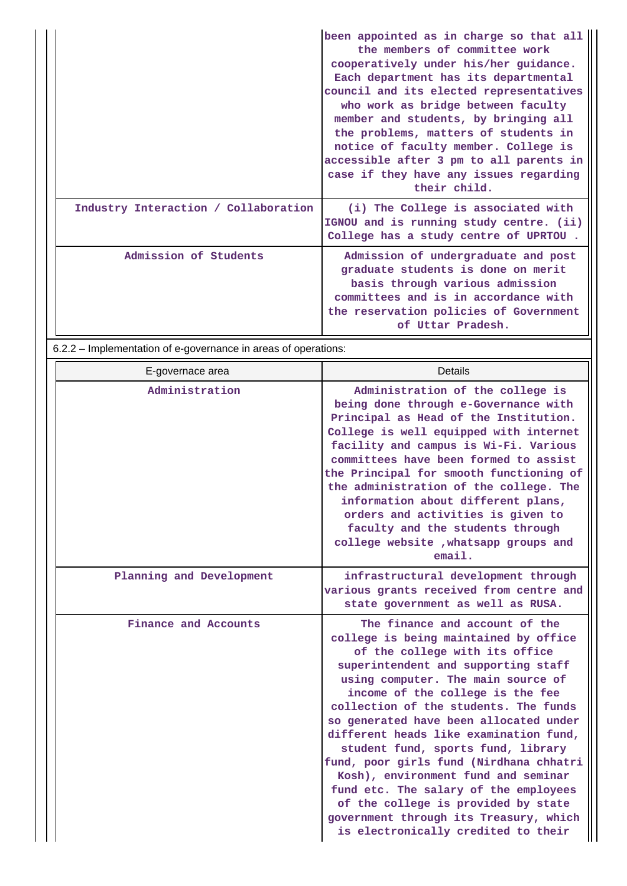|                                      | been appointed as in charge so that all<br>the members of committee work<br>cooperatively under his/her guidance.<br>Each department has its departmental<br>council and its elected representatives<br>who work as bridge between faculty<br>member and students, by bringing all<br>the problems, matters of students in<br>notice of faculty member. College is<br>accessible after 3 pm to all parents in<br>case if they have any issues regarding<br>their child. |
|--------------------------------------|-------------------------------------------------------------------------------------------------------------------------------------------------------------------------------------------------------------------------------------------------------------------------------------------------------------------------------------------------------------------------------------------------------------------------------------------------------------------------|
| Industry Interaction / Collaboration | (i) The College is associated with<br>IGNOU and is running study centre. (ii)<br>College has a study centre of UPRTOU.                                                                                                                                                                                                                                                                                                                                                  |
| Admission of Students                | Admission of undergraduate and post<br>graduate students is done on merit<br>basis through various admission<br>committees and is in accordance with<br>the reservation policies of Government<br>of Uttar Pradesh.                                                                                                                                                                                                                                                     |

6.2.2 – Implementation of e-governance in areas of operations:

| E-governace area         | <b>Details</b>                                                                                                                                                                                                                                                                                                                                                                                                                                                                                                                                                                                                                                   |
|--------------------------|--------------------------------------------------------------------------------------------------------------------------------------------------------------------------------------------------------------------------------------------------------------------------------------------------------------------------------------------------------------------------------------------------------------------------------------------------------------------------------------------------------------------------------------------------------------------------------------------------------------------------------------------------|
| Administration           | Administration of the college is<br>being done through e-Governance with<br>Principal as Head of the Institution.<br>College is well equipped with internet<br>facility and campus is Wi-Fi. Various<br>committees have been formed to assist<br>the Principal for smooth functioning of<br>the administration of the college. The<br>information about different plans,<br>orders and activities is given to<br>faculty and the students through<br>college website , whatsapp groups and<br>email.                                                                                                                                             |
| Planning and Development | infrastructural development through<br>various grants received from centre and<br>state government as well as RUSA.                                                                                                                                                                                                                                                                                                                                                                                                                                                                                                                              |
| Finance and Accounts     | The finance and account of the<br>college is being maintained by office<br>of the college with its office<br>superintendent and supporting staff<br>using computer. The main source of<br>income of the college is the fee<br>collection of the students. The funds<br>so generated have been allocated under<br>different heads like examination fund,<br>student fund, sports fund, library<br>fund, poor girls fund (Nirdhana chhatri<br>Kosh), environment fund and seminar<br>fund etc. The salary of the employees<br>of the college is provided by state<br>government through its Treasury, which<br>is electronically credited to their |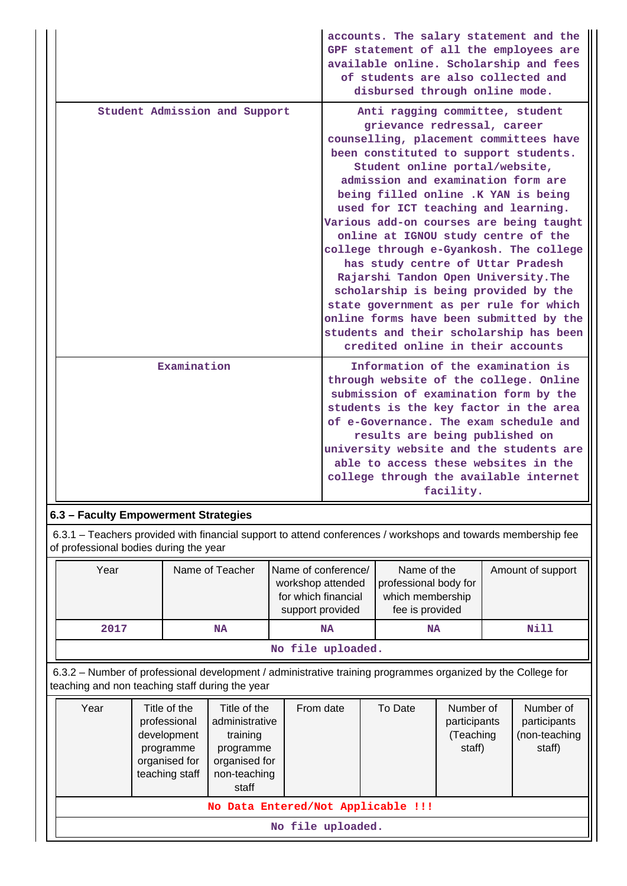|                                      | accounts. The salary statement and the<br>GPF statement of all the employees are<br>available online. Scholarship and fees<br>of students are also collected and                                                                                                                                                                                                                                                                                                                                                                                                                                                                                                                 |
|--------------------------------------|----------------------------------------------------------------------------------------------------------------------------------------------------------------------------------------------------------------------------------------------------------------------------------------------------------------------------------------------------------------------------------------------------------------------------------------------------------------------------------------------------------------------------------------------------------------------------------------------------------------------------------------------------------------------------------|
| Student Admission and Support        | disbursed through online mode.<br>Anti ragging committee, student<br>grievance redressal, career<br>counselling, placement committees have<br>been constituted to support students.<br>Student online portal/website,<br>admission and examination form are<br>being filled online .K YAN is being<br>used for ICT teaching and learning.<br>Various add-on courses are being taught<br>online at IGNOU study centre of the<br>college through e-Gyankosh. The college<br>has study centre of Uttar Pradesh<br>Rajarshi Tandon Open University. The<br>scholarship is being provided by the<br>state government as per rule for which<br>online forms have been submitted by the |
|                                      | students and their scholarship has been<br>credited online in their accounts                                                                                                                                                                                                                                                                                                                                                                                                                                                                                                                                                                                                     |
| Examination                          | Information of the examination is<br>through website of the college. Online<br>submission of examination form by the<br>students is the key factor in the area<br>of e-Governance. The exam schedule and<br>results are being published on<br>university website and the students are<br>able to access these websites in the<br>college through the available internet<br>facility.                                                                                                                                                                                                                                                                                             |
| 6.3 - Faculty Empowerment Strategies |                                                                                                                                                                                                                                                                                                                                                                                                                                                                                                                                                                                                                                                                                  |

## **6.3 – Faculty Empowerment Strategies**

 6.3.1 – Teachers provided with financial support to attend conferences / workshops and towards membership fee of professional bodies during the year

| Year              | Name of Teacher | Name of conference/<br>workshop attended<br>for which financial<br>support provided | Name of the<br>professional body for<br>which membership<br>fee is provided | Amount of support |  |  |
|-------------------|-----------------|-------------------------------------------------------------------------------------|-----------------------------------------------------------------------------|-------------------|--|--|
| 2017              | NA              | <b>NA</b>                                                                           | <b>NA</b>                                                                   | Nill              |  |  |
| No file uploaded. |                 |                                                                                     |                                                                             |                   |  |  |

 6.3.2 – Number of professional development / administrative training programmes organized by the College for teaching and non teaching staff during the year

| Year                               |                   | Title of the<br>professional<br>development<br>programme<br>organised for<br>teaching staff | Title of the<br>administrative<br>training<br>programme<br>organised for<br>non-teaching<br>staff | From date | To Date | Number of<br>participants<br>(Teaching<br>staff) | Number of<br>participants<br>(non-teaching<br>staff) |  |
|------------------------------------|-------------------|---------------------------------------------------------------------------------------------|---------------------------------------------------------------------------------------------------|-----------|---------|--------------------------------------------------|------------------------------------------------------|--|
| No Data Entered/Not Applicable !!! |                   |                                                                                             |                                                                                                   |           |         |                                                  |                                                      |  |
|                                    | No file uploaded. |                                                                                             |                                                                                                   |           |         |                                                  |                                                      |  |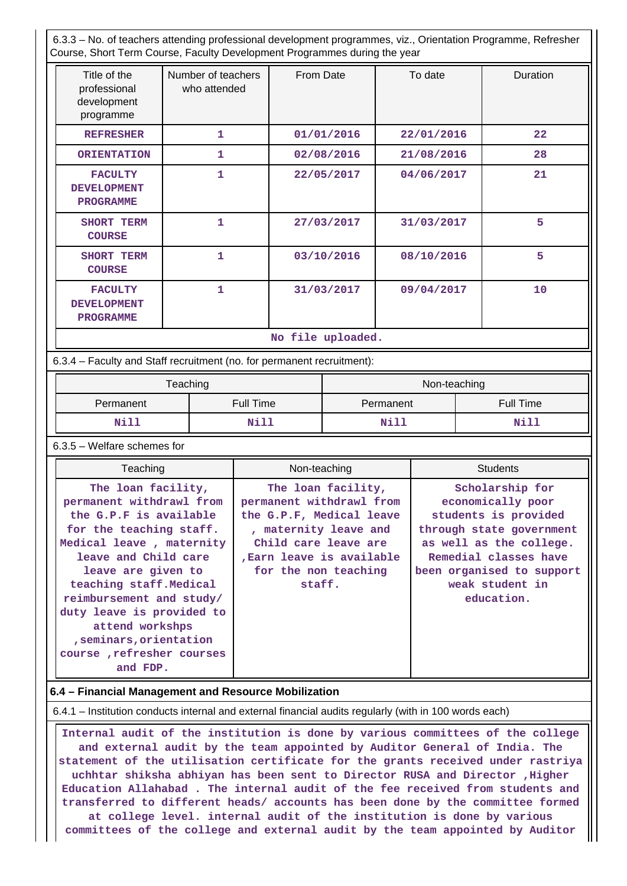6.3.3 – No. of teachers attending professional development programmes, viz., Orientation Programme, Refresher Course, Short Term Course, Faculty Development Programmes during the year

| Title of the<br>professional<br>development<br>programme | Number of teachers<br>who attended | From Date  | To date    | Duration |  |  |
|----------------------------------------------------------|------------------------------------|------------|------------|----------|--|--|
| <b>REFRESHER</b>                                         | 1                                  | 01/01/2016 | 22/01/2016 | 22       |  |  |
| <b>ORIENTATION</b>                                       | 1                                  | 02/08/2016 | 21/08/2016 | 28       |  |  |
| <b>FACULTY</b><br><b>DEVELOPMENT</b><br><b>PROGRAMME</b> | 1                                  | 22/05/2017 | 04/06/2017 | 21       |  |  |
| SHORT TERM<br><b>COURSE</b>                              | 1                                  | 27/03/2017 | 31/03/2017 | 5        |  |  |
| SHORT TERM<br><b>COURSE</b>                              | 1                                  | 03/10/2016 | 08/10/2016 | 5        |  |  |
| <b>FACULTY</b><br><b>DEVELOPMENT</b><br><b>PROGRAMME</b> | 1                                  | 31/03/2017 | 09/04/2017 | 10       |  |  |
| No file uploaded.                                        |                                    |            |            |          |  |  |

6.3.4 – Faculty and Staff recruitment (no. for permanent recruitment):

|           | Teaching  | Non-teaching |                  |  |
|-----------|-----------|--------------|------------------|--|
| Permanent | Full Time | Permanent    | <b>Full Time</b> |  |
| Nill      | Nill      | Nill         | Nill             |  |

### 6.3.5 – Welfare schemes for

| Teaching                                                                                                                                                                                                                                                                                                                                                 | Non-teaching                                                                                                                                                                               | <b>Students</b>                                                                                                                                                                                            |
|----------------------------------------------------------------------------------------------------------------------------------------------------------------------------------------------------------------------------------------------------------------------------------------------------------------------------------------------------------|--------------------------------------------------------------------------------------------------------------------------------------------------------------------------------------------|------------------------------------------------------------------------------------------------------------------------------------------------------------------------------------------------------------|
| The loan facility,<br>permanent withdrawl from<br>the G.P.F is available<br>for the teaching staff.<br>Medical leave, maternity<br>leave and Child care<br>leave are given to<br>teaching staff. Medical<br>reimbursement and study/<br>duty leave is provided to<br>attend workshps<br>, seminars, orientation<br>course, refresher courses<br>and FDP. | The loan facility,<br>permanent withdrawl from<br>the G.P.F, Medical leave<br>, maternity leave and<br>Child care leave are<br>, Earn leave is available<br>for the non teaching<br>staff. | Scholarship for<br>economically poor<br>students is provided<br>through state government<br>as well as the college.<br>Remedial classes have<br>been organised to support<br>weak student in<br>education. |

## **6.4 – Financial Management and Resource Mobilization**

6.4.1 – Institution conducts internal and external financial audits regularly (with in 100 words each)

 **Internal audit of the institution is done by various committees of the college and external audit by the team appointed by Auditor General of India. The statement of the utilisation certificate for the grants received under rastriya uchhtar shiksha abhiyan has been sent to Director RUSA and Director ,Higher Education Allahabad . The internal audit of the fee received from students and transferred to different heads/ accounts has been done by the committee formed at college level. internal audit of the institution is done by various committees of the college and external audit by the team appointed by Auditor**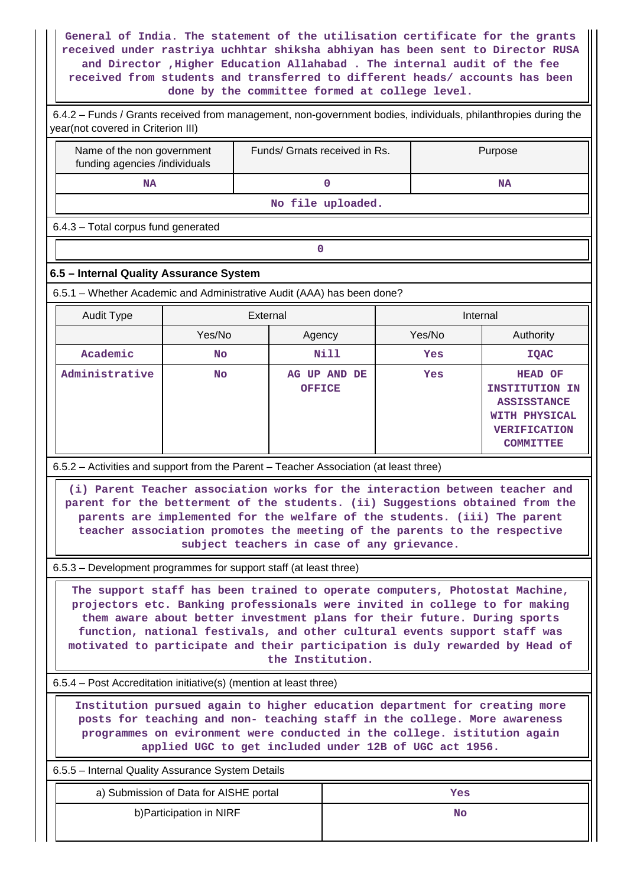**General of India. The statement of the utilisation certificate for the grants received under rastriya uchhtar shiksha abhiyan has been sent to Director RUSA and Director ,Higher Education Allahabad . The internal audit of the fee received from students and transferred to different heads/ accounts has been done by the committee formed at college level.**

| 6.4.2 - Funds / Grants received from management, non-government bodies, individuals, philanthropies during the<br>year(not covered in Criterion III)                                                                                                                                                                                                                                                                    |                                        |                                                                                                                                                                                                      |                   |  |          |                                                                                                                           |
|-------------------------------------------------------------------------------------------------------------------------------------------------------------------------------------------------------------------------------------------------------------------------------------------------------------------------------------------------------------------------------------------------------------------------|----------------------------------------|------------------------------------------------------------------------------------------------------------------------------------------------------------------------------------------------------|-------------------|--|----------|---------------------------------------------------------------------------------------------------------------------------|
| Funds/ Grnats received in Rs.<br>Name of the non government<br>funding agencies /individuals                                                                                                                                                                                                                                                                                                                            |                                        |                                                                                                                                                                                                      |                   |  |          | Purpose                                                                                                                   |
| <b>NA</b>                                                                                                                                                                                                                                                                                                                                                                                                               |                                        |                                                                                                                                                                                                      | $\mathbf 0$       |  |          | <b>NA</b>                                                                                                                 |
|                                                                                                                                                                                                                                                                                                                                                                                                                         |                                        |                                                                                                                                                                                                      | No file uploaded. |  |          |                                                                                                                           |
| 6.4.3 - Total corpus fund generated                                                                                                                                                                                                                                                                                                                                                                                     |                                        |                                                                                                                                                                                                      |                   |  |          |                                                                                                                           |
|                                                                                                                                                                                                                                                                                                                                                                                                                         |                                        | 0                                                                                                                                                                                                    |                   |  |          |                                                                                                                           |
| 6.5 - Internal Quality Assurance System                                                                                                                                                                                                                                                                                                                                                                                 |                                        |                                                                                                                                                                                                      |                   |  |          |                                                                                                                           |
| 6.5.1 - Whether Academic and Administrative Audit (AAA) has been done?                                                                                                                                                                                                                                                                                                                                                  |                                        |                                                                                                                                                                                                      |                   |  |          |                                                                                                                           |
| <b>Audit Type</b>                                                                                                                                                                                                                                                                                                                                                                                                       |                                        | External                                                                                                                                                                                             |                   |  | Internal |                                                                                                                           |
|                                                                                                                                                                                                                                                                                                                                                                                                                         | Yes/No                                 | Agency                                                                                                                                                                                               |                   |  | Yes/No   | Authority                                                                                                                 |
| Academic                                                                                                                                                                                                                                                                                                                                                                                                                | <b>No</b>                              |                                                                                                                                                                                                      | N11               |  | Yes      | <b>IQAC</b>                                                                                                               |
| Administrative                                                                                                                                                                                                                                                                                                                                                                                                          | <b>No</b>                              | <b>OFFICE</b>                                                                                                                                                                                        | AG UP AND DE      |  | Yes      | <b>HEAD OF</b><br><b>INSTITUTION IN</b><br><b>ASSISSTANCE</b><br>WITH PHYSICAL<br><b>VERIFICATION</b><br><b>COMMITTEE</b> |
| 6.5.2 - Activities and support from the Parent - Teacher Association (at least three)                                                                                                                                                                                                                                                                                                                                   |                                        |                                                                                                                                                                                                      |                   |  |          |                                                                                                                           |
| (i) Parent Teacher association works for the interaction between teacher and<br>parent for the betterment of the students. (ii) Suggestions obtained from the                                                                                                                                                                                                                                                           |                                        | parents are implemented for the welfare of the students. (iii) The parent<br>teacher association promotes the meeting of the parents to the respective<br>subject teachers in case of any grievance. |                   |  |          |                                                                                                                           |
| 6.5.3 – Development programmes for support staff (at least three)                                                                                                                                                                                                                                                                                                                                                       |                                        |                                                                                                                                                                                                      |                   |  |          |                                                                                                                           |
| The support staff has been trained to operate computers, Photostat Machine,<br>projectors etc. Banking professionals were invited in college to for making<br>them aware about better investment plans for their future. During sports<br>function, national festivals, and other cultural events support staff was<br>motivated to participate and their participation is duly rewarded by Head of<br>the Institution. |                                        |                                                                                                                                                                                                      |                   |  |          |                                                                                                                           |
| 6.5.4 – Post Accreditation initiative(s) (mention at least three)                                                                                                                                                                                                                                                                                                                                                       |                                        |                                                                                                                                                                                                      |                   |  |          |                                                                                                                           |
| Institution pursued again to higher education department for creating more<br>posts for teaching and non- teaching staff in the college. More awareness<br>programmes on evironment were conducted in the college. istitution again<br>applied UGC to get included under 12B of UGC act 1956.                                                                                                                           |                                        |                                                                                                                                                                                                      |                   |  |          |                                                                                                                           |
| 6.5.5 - Internal Quality Assurance System Details                                                                                                                                                                                                                                                                                                                                                                       |                                        |                                                                                                                                                                                                      |                   |  |          |                                                                                                                           |
|                                                                                                                                                                                                                                                                                                                                                                                                                         | a) Submission of Data for AISHE portal |                                                                                                                                                                                                      |                   |  | Yes      |                                                                                                                           |
| b) Participation in NIRF<br>No                                                                                                                                                                                                                                                                                                                                                                                          |                                        |                                                                                                                                                                                                      |                   |  |          |                                                                                                                           |

II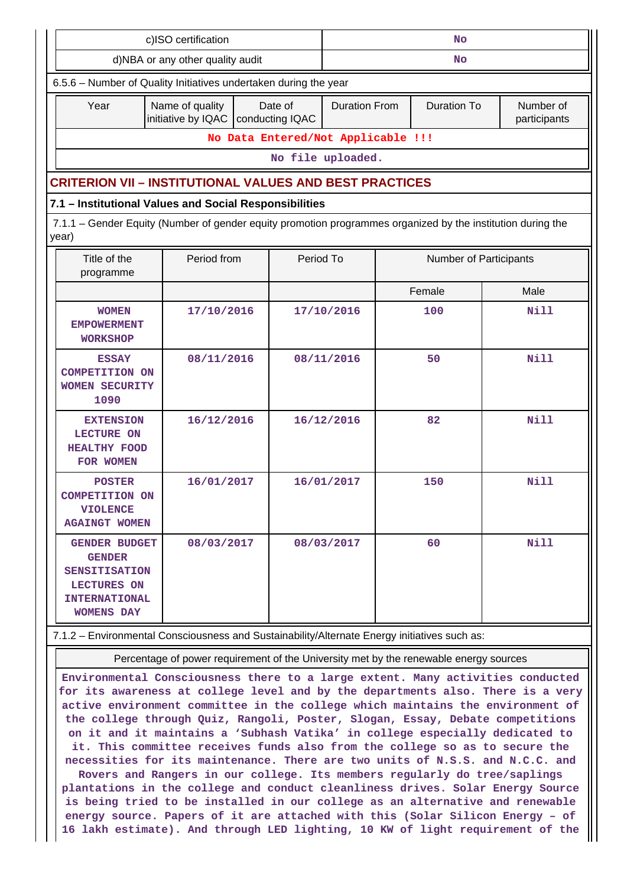| c)ISO certification                                                                                                                                                                                                                                                                                                                                                                                                  |                                                                  | <b>No</b>                  |                      |                                                                                       |                           |  |  |  |
|----------------------------------------------------------------------------------------------------------------------------------------------------------------------------------------------------------------------------------------------------------------------------------------------------------------------------------------------------------------------------------------------------------------------|------------------------------------------------------------------|----------------------------|----------------------|---------------------------------------------------------------------------------------|---------------------------|--|--|--|
| d)NBA or any other quality audit                                                                                                                                                                                                                                                                                                                                                                                     |                                                                  |                            | No                   |                                                                                       |                           |  |  |  |
|                                                                                                                                                                                                                                                                                                                                                                                                                      | 6.5.6 - Number of Quality Initiatives undertaken during the year |                            |                      |                                                                                       |                           |  |  |  |
| Year                                                                                                                                                                                                                                                                                                                                                                                                                 | Name of quality<br>initiative by IQAC                            | Date of<br>conducting IQAC | <b>Duration From</b> | <b>Duration To</b>                                                                    | Number of<br>participants |  |  |  |
|                                                                                                                                                                                                                                                                                                                                                                                                                      | No Data Entered/Not Applicable !!!                               |                            |                      |                                                                                       |                           |  |  |  |
|                                                                                                                                                                                                                                                                                                                                                                                                                      |                                                                  |                            | No file uploaded.    |                                                                                       |                           |  |  |  |
| <b>CRITERION VII – INSTITUTIONAL VALUES AND BEST PRACTICES</b>                                                                                                                                                                                                                                                                                                                                                       |                                                                  |                            |                      |                                                                                       |                           |  |  |  |
| 7.1 - Institutional Values and Social Responsibilities                                                                                                                                                                                                                                                                                                                                                               |                                                                  |                            |                      |                                                                                       |                           |  |  |  |
| 7.1.1 – Gender Equity (Number of gender equity promotion programmes organized by the institution during the<br>year)                                                                                                                                                                                                                                                                                                 |                                                                  |                            |                      |                                                                                       |                           |  |  |  |
| Title of the<br>programme                                                                                                                                                                                                                                                                                                                                                                                            | Period from                                                      |                            | Period To            |                                                                                       | Number of Participants    |  |  |  |
|                                                                                                                                                                                                                                                                                                                                                                                                                      |                                                                  |                            |                      | Female                                                                                | Male                      |  |  |  |
| <b>WOMEN</b><br><b>EMPOWERMENT</b><br><b>WORKSHOP</b>                                                                                                                                                                                                                                                                                                                                                                | 17/10/2016                                                       |                            | 17/10/2016           | 100                                                                                   | <b>Nill</b>               |  |  |  |
| <b>ESSAY</b><br>1090                                                                                                                                                                                                                                                                                                                                                                                                 | 08/11/2016<br><b>COMPETITION ON</b><br><b>WOMEN SECURITY</b>     |                            | 08/11/2016           | 50                                                                                    | <b>Nill</b>               |  |  |  |
| <b>EXTENSION</b><br><b>LECTURE ON</b><br><b>HEALTHY FOOD</b><br>FOR WOMEN                                                                                                                                                                                                                                                                                                                                            | 16/12/2016                                                       |                            | 16/12/2016           | 82                                                                                    | <b>Nill</b>               |  |  |  |
| <b>POSTER</b><br><b>VIOLENCE</b><br><b>AGAINGT WOMEN</b>                                                                                                                                                                                                                                                                                                                                                             | 16/01/2017<br><b>COMPETITION ON</b>                              |                            | 16/01/2017           | 150                                                                                   | Nill                      |  |  |  |
| 60<br>Nill<br>08/03/2017<br>08/03/2017<br><b>GENDER BUDGET</b><br><b>GENDER</b><br><b>SENSITISATION</b><br><b>LECTURES ON</b><br><b>INTERNATIONAL</b><br><b>WOMENS DAY</b>                                                                                                                                                                                                                                           |                                                                  |                            |                      |                                                                                       |                           |  |  |  |
| 7.1.2 - Environmental Consciousness and Sustainability/Alternate Energy initiatives such as:                                                                                                                                                                                                                                                                                                                         |                                                                  |                            |                      |                                                                                       |                           |  |  |  |
|                                                                                                                                                                                                                                                                                                                                                                                                                      |                                                                  |                            |                      | Percentage of power requirement of the University met by the renewable energy sources |                           |  |  |  |
| Environmental Consciousness there to a large extent. Many activities conducted<br>for its awareness at college level and by the departments also. There is a very<br>active environment committee in the college which maintains the environment of<br>the college through Quiz, Rangoli, Poster, Slogan, Essay, Debate competitions<br>on it and it maintains a 'Subhash Vatika' in college especially dedicated to |                                                                  |                            |                      |                                                                                       |                           |  |  |  |

**it. This committee receives funds also from the college so as to secure the necessities for its maintenance. There are two units of N.S.S. and N.C.C. and Rovers and Rangers in our college. Its members regularly do tree/saplings**

**plantations in the college and conduct cleanliness drives. Solar Energy Source is being tried to be installed in our college as an alternative and renewable energy source. Papers of it are attached with this (Solar Silicon Energy – of 16 lakh estimate). And through LED lighting, 10 KW of light requirement of the**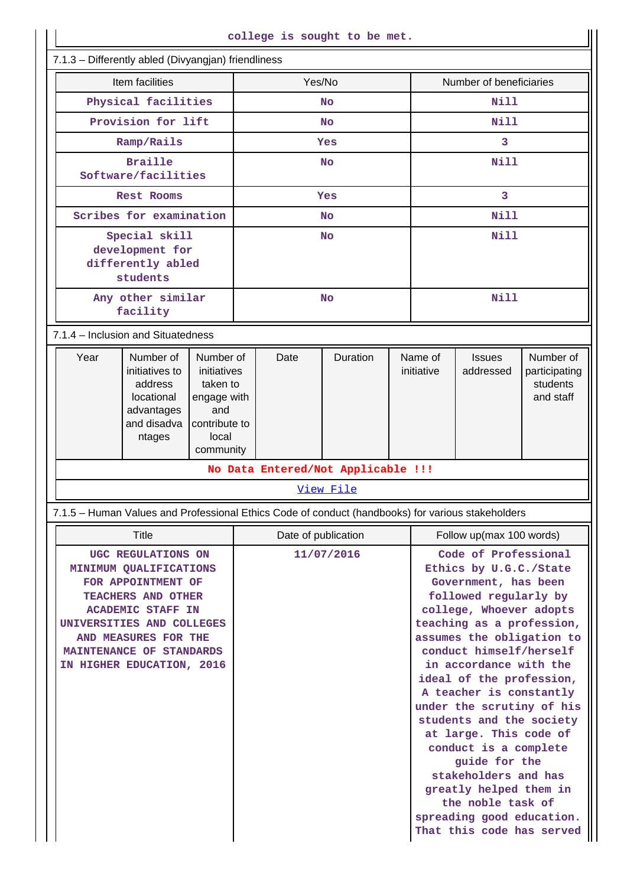|                                                                                                                                                                                                                                    |                                                                                             |                                                                                                   |            |                     | college is sought to be met.       |                                                                                                                                                                                                                                                                                                                                                                                                                                                                                                                                                                |                          |                            |                                                     |  |
|------------------------------------------------------------------------------------------------------------------------------------------------------------------------------------------------------------------------------------|---------------------------------------------------------------------------------------------|---------------------------------------------------------------------------------------------------|------------|---------------------|------------------------------------|----------------------------------------------------------------------------------------------------------------------------------------------------------------------------------------------------------------------------------------------------------------------------------------------------------------------------------------------------------------------------------------------------------------------------------------------------------------------------------------------------------------------------------------------------------------|--------------------------|----------------------------|-----------------------------------------------------|--|
| 7.1.3 - Differently abled (Divyangjan) friendliness                                                                                                                                                                                |                                                                                             |                                                                                                   |            |                     |                                    |                                                                                                                                                                                                                                                                                                                                                                                                                                                                                                                                                                |                          |                            |                                                     |  |
|                                                                                                                                                                                                                                    | Item facilities                                                                             |                                                                                                   | Yes/No     |                     |                                    | Number of beneficiaries                                                                                                                                                                                                                                                                                                                                                                                                                                                                                                                                        |                          |                            |                                                     |  |
| Physical facilities                                                                                                                                                                                                                |                                                                                             |                                                                                                   | <b>No</b>  |                     |                                    | <b>Nill</b>                                                                                                                                                                                                                                                                                                                                                                                                                                                                                                                                                    |                          |                            |                                                     |  |
|                                                                                                                                                                                                                                    | Provision for lift                                                                          |                                                                                                   | <b>No</b>  |                     |                                    | <b>Nill</b>                                                                                                                                                                                                                                                                                                                                                                                                                                                                                                                                                    |                          |                            |                                                     |  |
|                                                                                                                                                                                                                                    | Ramp/Rails                                                                                  |                                                                                                   | Yes        |                     |                                    | $\overline{3}$                                                                                                                                                                                                                                                                                                                                                                                                                                                                                                                                                 |                          |                            |                                                     |  |
|                                                                                                                                                                                                                                    | <b>Braille</b><br>Software/facilities                                                       |                                                                                                   |            | <b>No</b>           |                                    |                                                                                                                                                                                                                                                                                                                                                                                                                                                                                                                                                                | <b>Nill</b>              |                            |                                                     |  |
| <b>Rest Rooms</b>                                                                                                                                                                                                                  |                                                                                             |                                                                                                   | Yes        |                     |                                    | $\overline{3}$                                                                                                                                                                                                                                                                                                                                                                                                                                                                                                                                                 |                          |                            |                                                     |  |
|                                                                                                                                                                                                                                    | Scribes for examination                                                                     |                                                                                                   |            | <b>No</b>           |                                    |                                                                                                                                                                                                                                                                                                                                                                                                                                                                                                                                                                | Nill                     |                            |                                                     |  |
| Special skill<br>development for<br>differently abled<br>students                                                                                                                                                                  |                                                                                             |                                                                                                   | <b>No</b>  |                     |                                    | <b>Nill</b>                                                                                                                                                                                                                                                                                                                                                                                                                                                                                                                                                    |                          |                            |                                                     |  |
| Any other similar<br>facility                                                                                                                                                                                                      |                                                                                             |                                                                                                   | <b>No</b>  |                     |                                    | <b>Nill</b>                                                                                                                                                                                                                                                                                                                                                                                                                                                                                                                                                    |                          |                            |                                                     |  |
| 7.1.4 - Inclusion and Situatedness                                                                                                                                                                                                 |                                                                                             |                                                                                                   |            |                     |                                    |                                                                                                                                                                                                                                                                                                                                                                                                                                                                                                                                                                |                          |                            |                                                     |  |
| Year                                                                                                                                                                                                                               | Number of<br>initiatives to<br>address<br>locational<br>advantages<br>and disadva<br>ntages | Number of<br>initiatives<br>taken to<br>engage with<br>and<br>contribute to<br>local<br>community |            | Date                | Duration                           |                                                                                                                                                                                                                                                                                                                                                                                                                                                                                                                                                                | Name of<br>initiative    | <b>Issues</b><br>addressed | Number of<br>participating<br>students<br>and staff |  |
|                                                                                                                                                                                                                                    |                                                                                             |                                                                                                   |            |                     | No Data Entered/Not Applicable !!! |                                                                                                                                                                                                                                                                                                                                                                                                                                                                                                                                                                |                          |                            |                                                     |  |
|                                                                                                                                                                                                                                    |                                                                                             |                                                                                                   |            |                     | View File                          |                                                                                                                                                                                                                                                                                                                                                                                                                                                                                                                                                                |                          |                            |                                                     |  |
| 7.1.5 - Human Values and Professional Ethics Code of conduct (handbooks) for various stakeholders                                                                                                                                  |                                                                                             |                                                                                                   |            |                     |                                    |                                                                                                                                                                                                                                                                                                                                                                                                                                                                                                                                                                |                          |                            |                                                     |  |
|                                                                                                                                                                                                                                    | Title                                                                                       |                                                                                                   |            | Date of publication |                                    |                                                                                                                                                                                                                                                                                                                                                                                                                                                                                                                                                                | Follow up(max 100 words) |                            |                                                     |  |
| UGC REGULATIONS ON<br>MINIMUM QUALIFICATIONS<br>FOR APPOINTMENT OF<br>TEACHERS AND OTHER<br><b>ACADEMIC STAFF IN</b><br>UNIVERSITIES AND COLLEGES<br>AND MEASURES FOR THE<br>MAINTENANCE OF STANDARDS<br>IN HIGHER EDUCATION, 2016 |                                                                                             |                                                                                                   | 11/07/2016 |                     |                                    | Code of Professional<br>Ethics by U.G.C./State<br>Government, has been<br>followed regularly by<br>college, Whoever adopts<br>teaching as a profession,<br>assumes the obligation to<br>conduct himself/herself<br>in accordance with the<br>ideal of the profession,<br>A teacher is constantly<br>under the scrutiny of his<br>students and the society<br>at large. This code of<br>conduct is a complete<br>guide for the<br>stakeholders and has<br>greatly helped them in<br>the noble task of<br>spreading good education.<br>That this code has served |                          |                            |                                                     |  |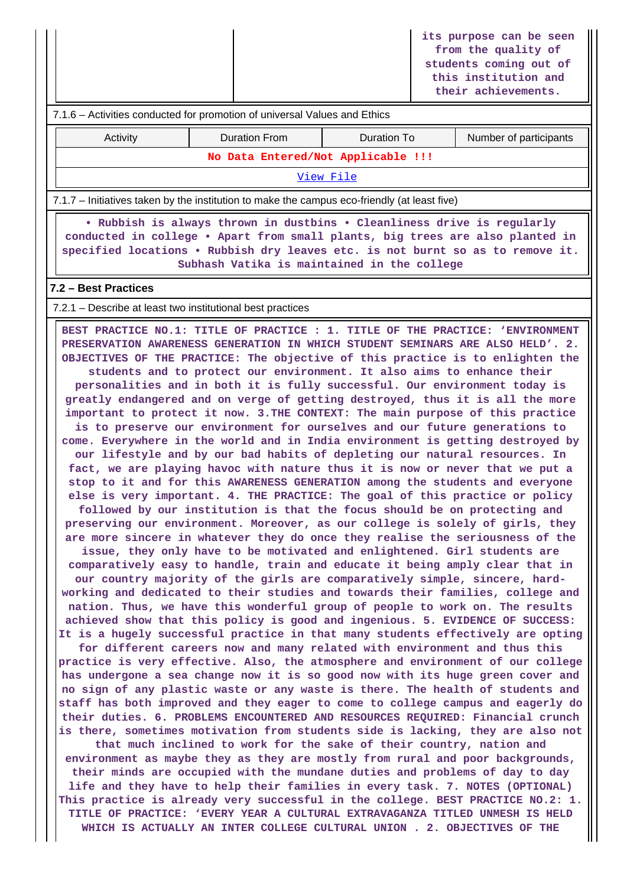|                                                                                                                                                                                                                                                                                                                                                                                                                                                                                                                                                                                                                                                                                                                                                                                                                                                                                                                                                                                                                                                                                                                                                                                                                                                                                                                                                                                                                                                                                                                                                                                                                                                                                                                                                                                                                                                                                                                                                                                                                                                                                                                                                                                                                                                                                                                                                                                                                                                                                                                                                                                                                                                                                                                                                                                                                                                                                                                                                                                                                                                                               |                                    |                    |  | its purpose can be seen<br>from the quality of<br>students coming out of<br>this institution and<br>their achievements. |  |  |  |  |  |
|-------------------------------------------------------------------------------------------------------------------------------------------------------------------------------------------------------------------------------------------------------------------------------------------------------------------------------------------------------------------------------------------------------------------------------------------------------------------------------------------------------------------------------------------------------------------------------------------------------------------------------------------------------------------------------------------------------------------------------------------------------------------------------------------------------------------------------------------------------------------------------------------------------------------------------------------------------------------------------------------------------------------------------------------------------------------------------------------------------------------------------------------------------------------------------------------------------------------------------------------------------------------------------------------------------------------------------------------------------------------------------------------------------------------------------------------------------------------------------------------------------------------------------------------------------------------------------------------------------------------------------------------------------------------------------------------------------------------------------------------------------------------------------------------------------------------------------------------------------------------------------------------------------------------------------------------------------------------------------------------------------------------------------------------------------------------------------------------------------------------------------------------------------------------------------------------------------------------------------------------------------------------------------------------------------------------------------------------------------------------------------------------------------------------------------------------------------------------------------------------------------------------------------------------------------------------------------------------------------------------------------------------------------------------------------------------------------------------------------------------------------------------------------------------------------------------------------------------------------------------------------------------------------------------------------------------------------------------------------------------------------------------------------------------------------------------------------|------------------------------------|--------------------|--|-------------------------------------------------------------------------------------------------------------------------|--|--|--|--|--|
| 7.1.6 – Activities conducted for promotion of universal Values and Ethics                                                                                                                                                                                                                                                                                                                                                                                                                                                                                                                                                                                                                                                                                                                                                                                                                                                                                                                                                                                                                                                                                                                                                                                                                                                                                                                                                                                                                                                                                                                                                                                                                                                                                                                                                                                                                                                                                                                                                                                                                                                                                                                                                                                                                                                                                                                                                                                                                                                                                                                                                                                                                                                                                                                                                                                                                                                                                                                                                                                                     |                                    |                    |  |                                                                                                                         |  |  |  |  |  |
| Activity                                                                                                                                                                                                                                                                                                                                                                                                                                                                                                                                                                                                                                                                                                                                                                                                                                                                                                                                                                                                                                                                                                                                                                                                                                                                                                                                                                                                                                                                                                                                                                                                                                                                                                                                                                                                                                                                                                                                                                                                                                                                                                                                                                                                                                                                                                                                                                                                                                                                                                                                                                                                                                                                                                                                                                                                                                                                                                                                                                                                                                                                      | <b>Duration From</b>               | <b>Duration To</b> |  | Number of participants                                                                                                  |  |  |  |  |  |
|                                                                                                                                                                                                                                                                                                                                                                                                                                                                                                                                                                                                                                                                                                                                                                                                                                                                                                                                                                                                                                                                                                                                                                                                                                                                                                                                                                                                                                                                                                                                                                                                                                                                                                                                                                                                                                                                                                                                                                                                                                                                                                                                                                                                                                                                                                                                                                                                                                                                                                                                                                                                                                                                                                                                                                                                                                                                                                                                                                                                                                                                               | No Data Entered/Not Applicable !!! |                    |  |                                                                                                                         |  |  |  |  |  |
| View File                                                                                                                                                                                                                                                                                                                                                                                                                                                                                                                                                                                                                                                                                                                                                                                                                                                                                                                                                                                                                                                                                                                                                                                                                                                                                                                                                                                                                                                                                                                                                                                                                                                                                                                                                                                                                                                                                                                                                                                                                                                                                                                                                                                                                                                                                                                                                                                                                                                                                                                                                                                                                                                                                                                                                                                                                                                                                                                                                                                                                                                                     |                                    |                    |  |                                                                                                                         |  |  |  |  |  |
| 7.1.7 – Initiatives taken by the institution to make the campus eco-friendly (at least five)                                                                                                                                                                                                                                                                                                                                                                                                                                                                                                                                                                                                                                                                                                                                                                                                                                                                                                                                                                                                                                                                                                                                                                                                                                                                                                                                                                                                                                                                                                                                                                                                                                                                                                                                                                                                                                                                                                                                                                                                                                                                                                                                                                                                                                                                                                                                                                                                                                                                                                                                                                                                                                                                                                                                                                                                                                                                                                                                                                                  |                                    |                    |  |                                                                                                                         |  |  |  |  |  |
| . Rubbish is always thrown in dustbins . Cleanliness drive is regularly<br>conducted in college . Apart from small plants, big trees are also planted in<br>specified locations . Rubbish dry leaves etc. is not burnt so as to remove it.<br>Subhash Vatika is maintained in the college                                                                                                                                                                                                                                                                                                                                                                                                                                                                                                                                                                                                                                                                                                                                                                                                                                                                                                                                                                                                                                                                                                                                                                                                                                                                                                                                                                                                                                                                                                                                                                                                                                                                                                                                                                                                                                                                                                                                                                                                                                                                                                                                                                                                                                                                                                                                                                                                                                                                                                                                                                                                                                                                                                                                                                                     |                                    |                    |  |                                                                                                                         |  |  |  |  |  |
| 7.2 - Best Practices                                                                                                                                                                                                                                                                                                                                                                                                                                                                                                                                                                                                                                                                                                                                                                                                                                                                                                                                                                                                                                                                                                                                                                                                                                                                                                                                                                                                                                                                                                                                                                                                                                                                                                                                                                                                                                                                                                                                                                                                                                                                                                                                                                                                                                                                                                                                                                                                                                                                                                                                                                                                                                                                                                                                                                                                                                                                                                                                                                                                                                                          |                                    |                    |  |                                                                                                                         |  |  |  |  |  |
| 7.2.1 – Describe at least two institutional best practices                                                                                                                                                                                                                                                                                                                                                                                                                                                                                                                                                                                                                                                                                                                                                                                                                                                                                                                                                                                                                                                                                                                                                                                                                                                                                                                                                                                                                                                                                                                                                                                                                                                                                                                                                                                                                                                                                                                                                                                                                                                                                                                                                                                                                                                                                                                                                                                                                                                                                                                                                                                                                                                                                                                                                                                                                                                                                                                                                                                                                    |                                    |                    |  |                                                                                                                         |  |  |  |  |  |
| BEST PRACTICE NO.1: TITLE OF PRACTICE : 1. TITLE OF THE PRACTICE: 'ENVIRONMENT<br>PRESERVATION AWARENESS GENERATION IN WHICH STUDENT SEMINARS ARE ALSO HELD'. 2.<br>OBJECTIVES OF THE PRACTICE: The objective of this practice is to enlighten the<br>students and to protect our environment. It also aims to enhance their<br>personalities and in both it is fully successful. Our environment today is<br>greatly endangered and on verge of getting destroyed, thus it is all the more<br>important to protect it now. 3. THE CONTEXT: The main purpose of this practice<br>is to preserve our environment for ourselves and our future generations to<br>come. Everywhere in the world and in India environment is getting destroyed by<br>our lifestyle and by our bad habits of depleting our natural resources. In<br>fact, we are playing havoc with nature thus it is now or never that we put a<br>stop to it and for this AWARENESS GENERATION among the students and everyone<br>else is very important. 4. THE PRACTICE: The goal of this practice or policy<br>followed by our institution is that the focus should be on protecting and<br>preserving our environment. Moreover, as our college is solely of girls, they<br>are more sincere in whatever they do once they realise the seriousness of the<br>issue, they only have to be motivated and enlightened. Girl students are<br>comparatively easy to handle, train and educate it being amply clear that in<br>our country majority of the girls are comparatively simple, sincere, hard-<br>working and dedicated to their studies and towards their families, college and<br>nation. Thus, we have this wonderful group of people to work on. The results<br>achieved show that this policy is good and ingenious. 5. EVIDENCE OF SUCCESS:<br>It is a hugely successful practice in that many students effectively are opting<br>for different careers now and many related with environment and thus this<br>practice is very effective. Also, the atmosphere and environment of our college<br>has undergone a sea change now it is so good now with its huge green cover and<br>no sign of any plastic waste or any waste is there. The health of students and<br>staff has both improved and they eager to come to college campus and eagerly do<br>their duties. 6. PROBLEMS ENCOUNTERED AND RESOURCES REQUIRED: Financial crunch<br>is there, sometimes motivation from students side is lacking, they are also not<br>that much inclined to work for the sake of their country, nation and<br>environment as maybe they as they are mostly from rural and poor backgrounds,<br>their minds are occupied with the mundane duties and problems of day to day<br>life and they have to help their families in every task. 7. NOTES (OPTIONAL)<br>This practice is already very successful in the college. BEST PRACTICE NO.2: 1.<br>TITLE OF PRACTICE: 'EVERY YEAR A CULTURAL EXTRAVAGANZA TITLED UNMESH IS HELD<br>WHICH IS ACTUALLY AN INTER COLLEGE CULTURAL UNION . 2. OBJECTIVES OF THE |                                    |                    |  |                                                                                                                         |  |  |  |  |  |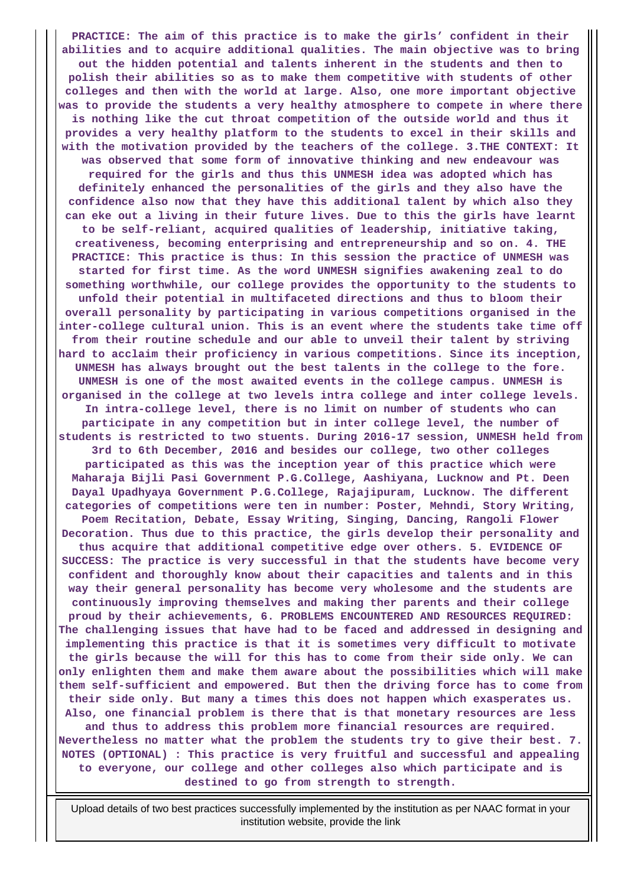**PRACTICE: The aim of this practice is to make the girls' confident in their abilities and to acquire additional qualities. The main objective was to bring out the hidden potential and talents inherent in the students and then to polish their abilities so as to make them competitive with students of other colleges and then with the world at large. Also, one more important objective was to provide the students a very healthy atmosphere to compete in where there is nothing like the cut throat competition of the outside world and thus it provides a very healthy platform to the students to excel in their skills and with the motivation provided by the teachers of the college. 3.THE CONTEXT: It was observed that some form of innovative thinking and new endeavour was required for the girls and thus this UNMESH idea was adopted which has definitely enhanced the personalities of the girls and they also have the confidence also now that they have this additional talent by which also they can eke out a living in their future lives. Due to this the girls have learnt to be self-reliant, acquired qualities of leadership, initiative taking, creativeness, becoming enterprising and entrepreneurship and so on. 4. THE PRACTICE: This practice is thus: In this session the practice of UNMESH was started for first time. As the word UNMESH signifies awakening zeal to do something worthwhile, our college provides the opportunity to the students to unfold their potential in multifaceted directions and thus to bloom their overall personality by participating in various competitions organised in the inter-college cultural union. This is an event where the students take time off from their routine schedule and our able to unveil their talent by striving hard to acclaim their proficiency in various competitions. Since its inception, UNMESH has always brought out the best talents in the college to the fore. UNMESH is one of the most awaited events in the college campus. UNMESH is organised in the college at two levels intra college and inter college levels. In intra-college level, there is no limit on number of students who can participate in any competition but in inter college level, the number of students is restricted to two stuents. During 2016-17 session, UNMESH held from 3rd to 6th December, 2016 and besides our college, two other colleges participated as this was the inception year of this practice which were Maharaja Bijli Pasi Government P.G.College, Aashiyana, Lucknow and Pt. Deen Dayal Upadhyaya Government P.G.College, Rajajipuram, Lucknow. The different categories of competitions were ten in number: Poster, Mehndi, Story Writing, Poem Recitation, Debate, Essay Writing, Singing, Dancing, Rangoli Flower Decoration. Thus due to this practice, the girls develop their personality and thus acquire that additional competitive edge over others. 5. EVIDENCE OF SUCCESS: The practice is very successful in that the students have become very confident and thoroughly know about their capacities and talents and in this way their general personality has become very wholesome and the students are continuously improving themselves and making ther parents and their college proud by their achievements, 6. PROBLEMS ENCOUNTERED AND RESOURCES REQUIRED: The challenging issues that have had to be faced and addressed in designing and implementing this practice is that it is sometimes very difficult to motivate the girls because the will for this has to come from their side only. We can only enlighten them and make them aware about the possibilities which will make them self-sufficient and empowered. But then the driving force has to come from their side only. But many a times this does not happen which exasperates us. Also, one financial problem is there that is that monetary resources are less and thus to address this problem more financial resources are required. Nevertheless no matter what the problem the students try to give their best. 7. NOTES (OPTIONAL) : This practice is very fruitful and successful and appealing to everyone, our college and other colleges also which participate and is destined to go from strength to strength.**

 Upload details of two best practices successfully implemented by the institution as per NAAC format in your institution website, provide the link